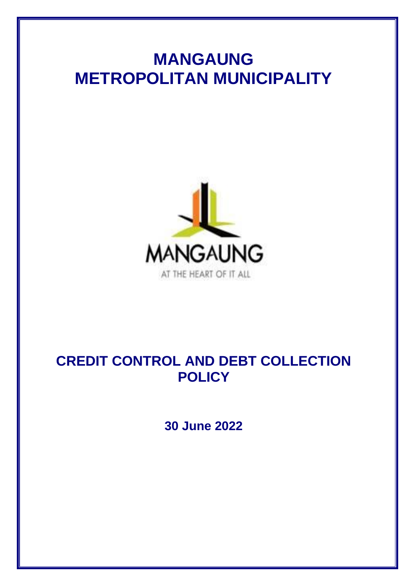# **MANGAUNG METROPOLITAN MUNICIPALITY**



## **CREDIT CONTROL AND DEBT COLLECTION POLICY**

**30 June 2022**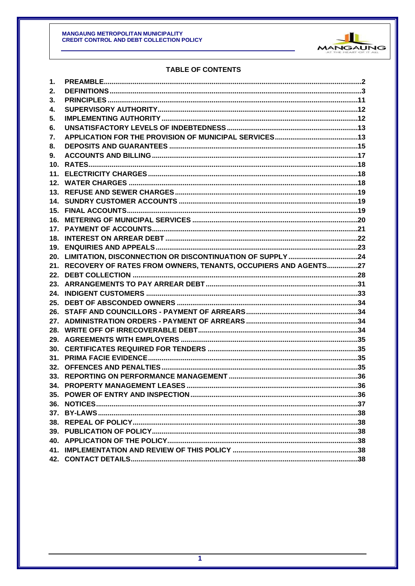

## **TABLE OF CONTENTS**

| 1.              |                                                                    |  |
|-----------------|--------------------------------------------------------------------|--|
| 2.              |                                                                    |  |
| 3.              |                                                                    |  |
| 4.              |                                                                    |  |
| 5.              |                                                                    |  |
| 6.              |                                                                    |  |
| 7.              |                                                                    |  |
| 8.              |                                                                    |  |
| 9.              |                                                                    |  |
| 10 <sub>1</sub> |                                                                    |  |
| 11.             |                                                                    |  |
|                 |                                                                    |  |
|                 |                                                                    |  |
|                 |                                                                    |  |
|                 |                                                                    |  |
|                 |                                                                    |  |
|                 |                                                                    |  |
|                 |                                                                    |  |
|                 |                                                                    |  |
|                 |                                                                    |  |
|                 | 21. RECOVERY OF RATES FROM OWNERS, TENANTS, OCCUPIERS AND AGENTS27 |  |
|                 |                                                                    |  |
|                 |                                                                    |  |
|                 |                                                                    |  |
|                 |                                                                    |  |
|                 |                                                                    |  |
|                 |                                                                    |  |
|                 |                                                                    |  |
|                 |                                                                    |  |
|                 |                                                                    |  |
|                 |                                                                    |  |
|                 |                                                                    |  |
|                 |                                                                    |  |
|                 |                                                                    |  |
|                 |                                                                    |  |
|                 |                                                                    |  |
|                 |                                                                    |  |
|                 |                                                                    |  |
|                 |                                                                    |  |
|                 |                                                                    |  |
|                 |                                                                    |  |
|                 |                                                                    |  |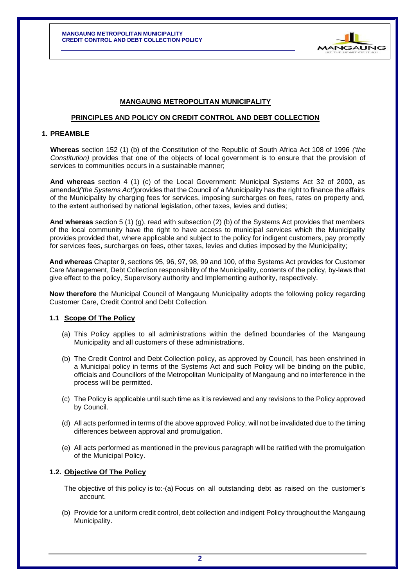

## **MANGAUNG METROPOLITAN MUNICIPALITY**

#### **PRINCIPLES AND POLICY ON CREDIT CONTROL AND DEBT COLLECTION**

## **1. PREAMBLE**

**Whereas** section 152 (1) (b) of the Constitution of the Republic of South Africa Act 108 of 1996 *('the Constitution)* provides that one of the objects of local government is to ensure that the provision of services to communities occurs in a sustainable manner;

**And whereas** section 4 (1) (c) of the Local Government: Municipal Systems Act 32 of 2000, as amended*('the Systems Act')*provides that the Council of a Municipality has the right to finance the affairs of the Municipality by charging fees for services, imposing surcharges on fees, rates on property and, to the extent authorised by national legislation, other taxes, levies and duties;

**And whereas** section 5 (1) (g), read with subsection (2) (b) of the Systems Act provides that members of the local community have the right to have access to municipal services which the Municipality provides provided that, where applicable and subject to the policy for indigent customers, pay promptly for services fees, surcharges on fees, other taxes, levies and duties imposed by the Municipality;

**And whereas** Chapter 9, sections 95, 96, 97, 98, 99 and 100, of the Systems Act provides for Customer Care Management, Debt Collection responsibility of the Municipality, contents of the policy, by-laws that give effect to the policy, Supervisory authority and Implementing authority, respectively.

**Now therefore** the Municipal Council of Mangaung Municipality adopts the following policy regarding Customer Care, Credit Control and Debt Collection.

## **1.1 Scope Of The Policy**

- (a) This Policy applies to all administrations within the defined boundaries of the Mangaung Municipality and all customers of these administrations.
- (b) The Credit Control and Debt Collection policy, as approved by Council, has been enshrined in a Municipal policy in terms of the Systems Act and such Policy will be binding on the public, officials and Councillors of the Metropolitan Municipality of Mangaung and no interference in the process will be permitted.
- (c) The Policy is applicable until such time as it is reviewed and any revisions to the Policy approved by Council.
- (d) All acts performed in terms of the above approved Policy, will not be invalidated due to the timing differences between approval and promulgation.
- (e) All acts performed as mentioned in the previous paragraph will be ratified with the promulgation of the Municipal Policy.

## **1.2. Objective Of The Policy**

- The objective of this policy is to:-(a) Focus on all outstanding debt as raised on the customer's account.
- (b) Provide for a uniform credit control, debt collection and indigent Policy throughout the Mangaung Municipality.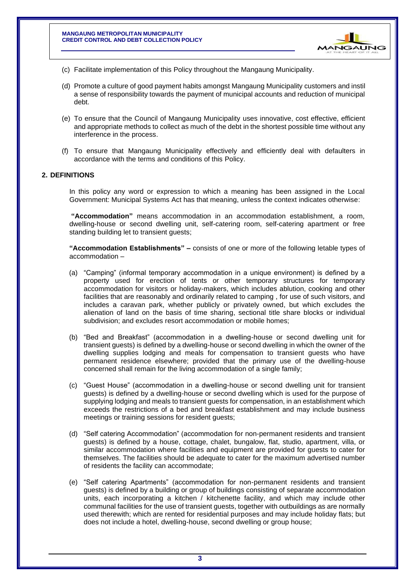

- (c) Facilitate implementation of this Policy throughout the Mangaung Municipality.
- (d) Promote a culture of good payment habits amongst Mangaung Municipality customers and instil a sense of responsibility towards the payment of municipal accounts and reduction of municipal debt.
- (e) To ensure that the Council of Mangaung Municipality uses innovative, cost effective, efficient and appropriate methods to collect as much of the debt in the shortest possible time without any interference in the process.
- (f) To ensure that Mangaung Municipality effectively and efficiently deal with defaulters in accordance with the terms and conditions of this Policy.

#### <span id="page-3-0"></span>**2. DEFINITIONS**

In this policy any word or expression to which a meaning has been assigned in the Local Government: Municipal Systems Act has that meaning, unless the context indicates otherwise:

**"Accommodation"** means accommodation in an accommodation establishment, a room, dwelling-house or second dwelling unit, self-catering room, self-catering apartment or free standing building let to transient guests;

**"Accommodation Establishments" –** consists of one or more of the following letable types of accommodation –

- (a) "Camping" (informal temporary accommodation in a unique environment) is defined by a property used for erection of tents or other temporary structures for temporary accommodation for visitors or holiday-makers, which includes ablution, cooking and other facilities that are reasonably and ordinarily related to camping , for use of such visitors, and includes a caravan park, whether publicly or privately owned, but which excludes the alienation of land on the basis of time sharing, sectional title share blocks or individual subdivision; and excludes resort accommodation or mobile homes;
- (b) "Bed and Breakfast" (accommodation in a dwelling-house or second dwelling unit for transient guests) is defined by a dwelling-house or second dwelling in which the owner of the dwelling supplies lodging and meals for compensation to transient guests who have permanent residence elsewhere; provided that the primary use of the dwelling-house concerned shall remain for the living accommodation of a single family;
- (c) "Guest House" (accommodation in a dwelling-house or second dwelling unit for transient guests) is defined by a dwelling-house or second dwelling which is used for the purpose of supplying lodging and meals to transient guests for compensation, in an establishment which exceeds the restrictions of a bed and breakfast establishment and may include business meetings or training sessions for resident guests;
- (d) "Self catering Accommodation" (accommodation for non-permanent residents and transient guests) is defined by a house, cottage, chalet, bungalow, flat, studio, apartment, villa, or similar accommodation where facilities and equipment are provided for guests to cater for themselves. The facilities should be adequate to cater for the maximum advertised number of residents the facility can accommodate;
- (e) "Self catering Apartments" (accommodation for non-permanent residents and transient guests) is defined by a building or group of buildings consisting of separate accommodation units, each incorporating a kitchen / kitchenette facility, and which may include other communal facilities for the use of transient guests, together with outbuildings as are normally used therewith; which are rented for residential purposes and may include holiday flats; but does not include a hotel, dwelling-house, second dwelling or group house;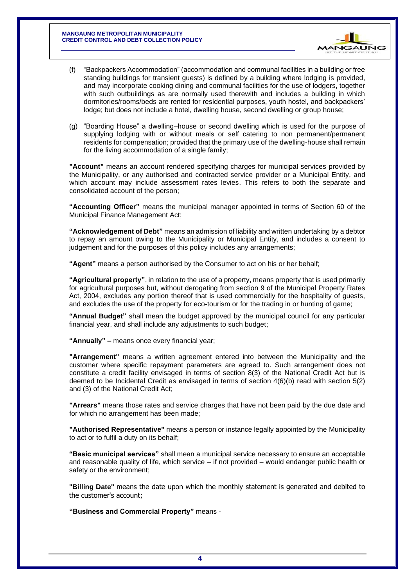

- (f) "Backpackers Accommodation" (accommodation and communal facilities in a building or free standing buildings for transient guests) is defined by a building where lodging is provided, and may incorporate cooking dining and communal facilities for the use of lodgers, together with such outbuildings as are normally used therewith and includes a building in which dormitories/rooms/beds are rented for residential purposes, youth hostel, and backpackers' lodge; but does not include a hotel, dwelling house, second dwelling or group house;
- (g) "Boarding House" a dwelling–house or second dwelling which is used for the purpose of supplying lodging with or without meals or self catering to non permanent/permanent residents for compensation; provided that the primary use of the dwelling-house shall remain for the living accommodation of a single family;

**"Account"** means an account rendered specifying charges for municipal services provided by the Municipality, or any authorised and contracted service provider or a Municipal Entity, and which account may include assessment rates levies. This refers to both the separate and consolidated account of the person;

**"Accounting Officer"** means the municipal manager appointed in terms of Section 60 of the Municipal Finance Management Act;

**"Acknowledgement of Debt"** means an admission of liability and written undertaking by a debtor to repay an amount owing to the Municipality or Municipal Entity, and includes a consent to judgement and for the purposes of this policy includes any arrangements;

**"Agent"** means a person authorised by the Consumer to act on his or her behalf;

**"Agricultural property"**, in relation to the use of a property, means property that is used primarily for agricultural purposes but, without derogating from section 9 of the Municipal Property Rates Act, 2004, excludes any portion thereof that is used commercially for the hospitality of guests, and excludes the use of the property for eco-tourism or for the trading in or hunting of game;

**"Annual Budget"** shall mean the budget approved by the municipal council for any particular financial year, and shall include any adjustments to such budget;

**"Annually" –** means once every financial year;

**"Arrangement"** means a written agreement entered into between the Municipality and the customer where specific repayment parameters are agreed to. Such arrangement does not constitute a credit facility envisaged in terms of section 8(3) of the National Credit Act but is deemed to be Incidental Credit as envisaged in terms of section 4(6)(b) read with section 5(2) and (3) of the National Credit Act;

**"Arrears"** means those rates and service charges that have not been paid by the due date and for which no arrangement has been made;

**"Authorised Representative"** means a person or instance legally appointed by the Municipality to act or to fulfil a duty on its behalf;

**"Basic municipal services"** shall mean a municipal service necessary to ensure an acceptable and reasonable quality of life, which service – if not provided – would endanger public health or safety or the environment;

**"Billing Date"** means the date upon which the monthly statement is generated and debited to the customer's account;

**"Business and Commercial Property"** means -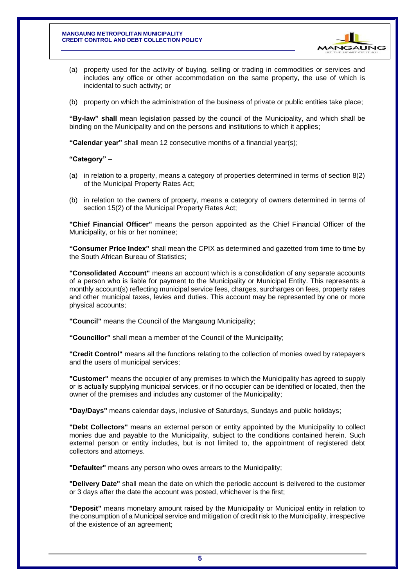

- (a) property used for the activity of buying, selling or trading in commodities or services and includes any office or other accommodation on the same property, the use of which is incidental to such activity; or
- (b) property on which the administration of the business of private or public entities take place;

**"By-law" shall** mean legislation passed by the council of the Municipality, and which shall be binding on the Municipality and on the persons and institutions to which it applies;

**"Calendar year"** shall mean 12 consecutive months of a financial year(s);

#### **"Category"** –

- (a) in relation to a property, means a category of properties determined in terms of section 8(2) of the Municipal Property Rates Act;
- (b) in relation to the owners of property, means a category of owners determined in terms of section 15(2) of the Municipal Property Rates Act;

**"Chief Financial Officer"** means the person appointed as the Chief Financial Officer of the Municipality, or his or her nominee;

**"Consumer Price Index"** shall mean the CPIX as determined and gazetted from time to time by the South African Bureau of Statistics;

**"Consolidated Account"** means an account which is a consolidation of any separate accounts of a person who is liable for payment to the Municipality or Municipal Entity. This represents a monthly account(s) reflecting municipal service fees, charges, surcharges on fees, property rates and other municipal taxes, levies and duties. This account may be represented by one or more physical accounts;

**"Council"** means the Council of the Mangaung Municipality;

**"Councillor"** shall mean a member of the Council of the Municipality;

**"Credit Control"** means all the functions relating to the collection of monies owed by ratepayers and the users of municipal services;

**"Customer"** means the occupier of any premises to which the Municipality has agreed to supply or is actually supplying municipal services, or if no occupier can be identified or located, then the owner of the premises and includes any customer of the Municipality;

**"Day/Days"** means calendar days, inclusive of Saturdays, Sundays and public holidays;

**"Debt Collectors"** means an external person or entity appointed by the Municipality to collect monies due and payable to the Municipality, subject to the conditions contained herein. Such external person or entity includes, but is not limited to, the appointment of registered debt collectors and attorneys.

**"Defaulter"** means any person who owes arrears to the Municipality;

**"Delivery Date"** shall mean the date on which the periodic account is delivered to the customer or 3 days after the date the account was posted, whichever is the first;

**"Deposit"** means monetary amount raised by the Municipality or Municipal entity in relation to the consumption of a Municipal service and mitigation of credit risk to the Municipality, irrespective of the existence of an agreement;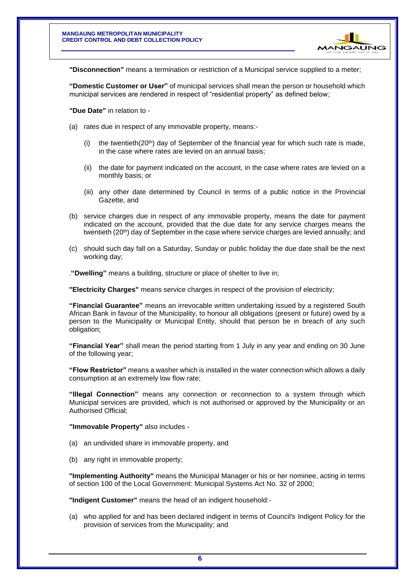

**"Disconnection"** means a termination or restriction of a Municipal service supplied to a meter;

**"Domestic Customer or User"** of municipal services shall mean the person or household which municipal services are rendered in respect of "residential property" as defined below;

**"Due Date"** in relation to -

- (a) rates due in respect of any immovable property, means:-
	- (i) the twentieth(20<sup>th</sup>) day of September of the financial year for which such rate is made, in the case where rates are levied on an annual basis;
	- (ii) the date for payment indicated on the account, in the case where rates are levied on a monthly basis; or
	- (iii) any other date determined by Council in terms of a public notice in the Provincial Gazette, and
- (b) service charges due in respect of any immovable property, means the date for payment indicated on the account, provided that the due date for any service charges means the twentieth (20<sup>th</sup>) day of September in the case where service charges are levied annually; and
- (c) should such day fall on a Saturday, Sunday or public holiday the due date shall be the next working day;

.**"Dwelling"** means a building, structure or place of shelter to live in;

**"Electricity Charges"** means service charges in respect of the provision of electricity;

**"Financial Guarantee"** means an irrevocable written undertaking issued by a registered South African Bank in favour of the Municipality, to honour all obligations (present or future) owed by a person to the Municipality or Municipal Entity, should that person be in breach of any such obligation;

**"Financial Year"** shall mean the period starting from 1 July in any year and ending on 30 June of the following year;

**"Flow Restrictor"** means a washer which is installed in the water connection which allows a daily consumption at an extremely low flow rate;

**"Illegal Connection"** means any connection or reconnection to a system through which Municipal services are provided, which is not authorised or approved by the Municipality or an Authorised Official;

#### **"Immovable Property"** also includes -

- (a) an undivided share in immovable property, and
- (b) any right in immovable property;

**"Implementing Authority"** means the Municipal Manager or his or her nominee, acting in terms of section 100 of the Local Government: Municipal Systems Act No. 32 of 2000;

**"Indigent Customer"** means the head of an indigent household:-

(a) who applied for and has been declared indigent in terms of Council's Indigent Policy for the provision of services from the Municipality; and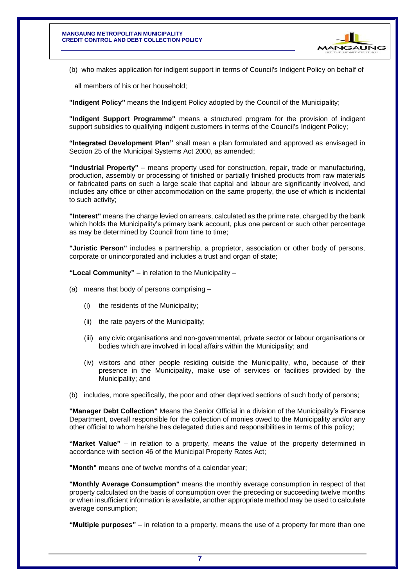

(b) who makes application for indigent support in terms of Council's Indigent Policy on behalf of

all members of his or her household;

**"Indigent Policy"** means the Indigent Policy adopted by the Council of the Municipality;

**"Indigent Support Programme"** means a structured program for the provision of indigent support subsidies to qualifying indigent customers in terms of the Council's Indigent Policy;

**"Integrated Development Plan"** shall mean a plan formulated and approved as envisaged in Section 25 of the Municipal Systems Act 2000, as amended;

**"Industrial Property"** – means property used for construction, repair, trade or manufacturing, production, assembly or processing of finished or partially finished products from raw materials or fabricated parts on such a large scale that capital and labour are significantly involved, and includes any office or other accommodation on the same property, the use of which is incidental to such activity;

**"Interest"** means the charge levied on arrears, calculated as the prime rate, charged by the bank which holds the Municipality's primary bank account, plus one percent or such other percentage as may be determined by Council from time to time;

**"Juristic Person"** includes a partnership, a proprietor, association or other body of persons, corporate or unincorporated and includes a trust and organ of state;

**"Local Community"** – in relation to the Municipality –

- (a) means that body of persons comprising
	- (i) the residents of the Municipality;
	- (ii) the rate payers of the Municipality;
	- (iii) any civic organisations and non-governmental, private sector or labour organisations or bodies which are involved in local affairs within the Municipality; and
	- (iv) visitors and other people residing outside the Municipality, who, because of their presence in the Municipality, make use of services or facilities provided by the Municipality; and

(b) includes, more specifically, the poor and other deprived sections of such body of persons;

**"Manager Debt Collection"** Means the Senior Official in a division of the Municipality's Finance Department, overall responsible for the collection of monies owed to the Municipality and/or any other official to whom he/she has delegated duties and responsibilities in terms of this policy;

**"Market Value"** – in relation to a property, means the value of the property determined in accordance with section 46 of the Municipal Property Rates Act;

**"Month"** means one of twelve months of a calendar year;

**"Monthly Average Consumption"** means the monthly average consumption in respect of that property calculated on the basis of consumption over the preceding or succeeding twelve months or when insufficient information is available, another appropriate method may be used to calculate average consumption;

**"Multiple purposes"** – in relation to a property, means the use of a property for more than one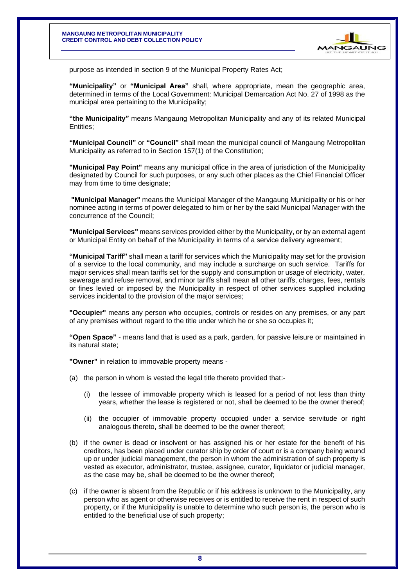

purpose as intended in section 9 of the Municipal Property Rates Act;

**"Municipality"** or **"Municipal Area"** shall, where appropriate, mean the geographic area, determined in terms of the Local Government: Municipal Demarcation Act No. 27 of 1998 as the municipal area pertaining to the Municipality;

**"the Municipality"** means Mangaung Metropolitan Municipality and any of its related Municipal Entities;

**"Municipal Council"** or **"Council"** shall mean the municipal council of Mangaung Metropolitan Municipality as referred to in Section 157(1) of the Constitution;

**"Municipal Pay Point"** means any municipal office in the area of jurisdiction of the Municipality designated by Council for such purposes, or any such other places as the Chief Financial Officer may from time to time designate;

**"Municipal Manager"** means the Municipal Manager of the Mangaung Municipality or his or her nominee acting in terms of power delegated to him or her by the said Municipal Manager with the concurrence of the Council;

**"Municipal Services"** means services provided either by the Municipality, or by an external agent or Municipal Entity on behalf of the Municipality in terms of a service delivery agreement;

**"Municipal Tariff"** shall mean a tariff for services which the Municipality may set for the provision of a service to the local community, and may include a surcharge on such service. Tariffs for major services shall mean tariffs set for the supply and consumption or usage of electricity, water, sewerage and refuse removal, and minor tariffs shall mean all other tariffs, charges, fees, rentals or fines levied or imposed by the Municipality in respect of other services supplied including services incidental to the provision of the major services;

**"Occupier"** means any person who occupies, controls or resides on any premises, or any part of any premises without regard to the title under which he or she so occupies it;

**"Open Space"** - means land that is used as a park, garden, for passive leisure or maintained in its natural state;

**"Owner"** in relation to immovable property means -

- (a) the person in whom is vested the legal title thereto provided that:-
	- (i) the lessee of immovable property which is leased for a period of not less than thirty years, whether the lease is registered or not, shall be deemed to be the owner thereof;
	- (ii) the occupier of immovable property occupied under a service servitude or right analogous thereto, shall be deemed to be the owner thereof;
- (b) if the owner is dead or insolvent or has assigned his or her estate for the benefit of his creditors, has been placed under curator ship by order of court or is a company being wound up or under judicial management, the person in whom the administration of such property is vested as executor, administrator, trustee, assignee, curator, liquidator or judicial manager, as the case may be, shall be deemed to be the owner thereof;
- (c) if the owner is absent from the Republic or if his address is unknown to the Municipality, any person who as agent or otherwise receives or is entitled to receive the rent in respect of such property, or if the Municipality is unable to determine who such person is, the person who is entitled to the beneficial use of such property;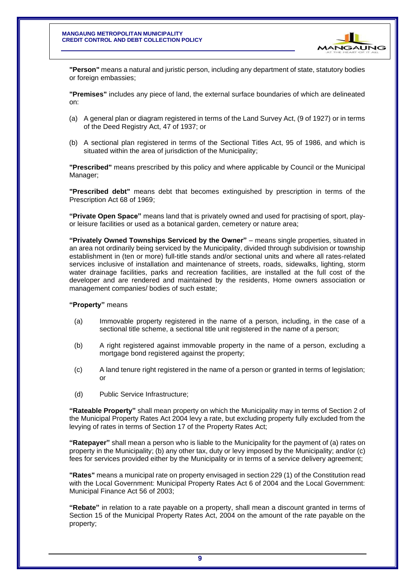

**"Person"** means a natural and juristic person, including any department of state, statutory bodies or foreign embassies;

**"Premises"** includes any piece of land, the external surface boundaries of which are delineated on:

- (a) A general plan or diagram registered in terms of the Land Survey Act, (9 of 1927) or in terms of the Deed Registry Act, 47 of 1937; or
- (b) A sectional plan registered in terms of the Sectional Titles Act, 95 of 1986, and which is situated within the area of jurisdiction of the Municipality;

**"Prescribed"** means prescribed by this policy and where applicable by Council or the Municipal Manager;

**"Prescribed debt"** means debt that becomes extinguished by prescription in terms of the Prescription Act 68 of 1969;

**"Private Open Space"** means land that is privately owned and used for practising of sport, playor leisure facilities or used as a botanical garden, cemetery or nature area;

**"Privately Owned Townships Serviced by the Owner"** – means single properties, situated in an area not ordinarily being serviced by the Municipality, divided through subdivision or township establishment in (ten or more) full-title stands and/or sectional units and where all rates-related services inclusive of installation and maintenance of streets, roads, sidewalks, lighting, storm water drainage facilities, parks and recreation facilities, are installed at the full cost of the developer and are rendered and maintained by the residents, Home owners association or management companies/ bodies of such estate;

#### **"Property"** means

- (a) Immovable property registered in the name of a person, including, in the case of a sectional title scheme, a sectional title unit registered in the name of a person;
- (b) A right registered against immovable property in the name of a person, excluding a mortgage bond registered against the property;
- (c) A land tenure right registered in the name of a person or granted in terms of legislation; or
- (d) Public Service Infrastructure;

**"Rateable Property"** shall mean property on which the Municipality may in terms of Section 2 of the Municipal Property Rates Act 2004 levy a rate, but excluding property fully excluded from the levying of rates in terms of Section 17 of the Property Rates Act;

**"Ratepayer"** shall mean a person who is liable to the Municipality for the payment of (a) rates on property in the Municipality; (b) any other tax, duty or levy imposed by the Municipality; and/or (c) fees for services provided either by the Municipality or in terms of a service delivery agreement;

**"Rates"** means a municipal rate on property envisaged in section 229 (1) of the Constitution read with the Local Government: Municipal Property Rates Act 6 of 2004 and the Local Government: Municipal Finance Act 56 of 2003;

**"Rebate"** in relation to a rate payable on a property, shall mean a discount granted in terms of Section 15 of the Municipal Property Rates Act, 2004 on the amount of the rate payable on the property;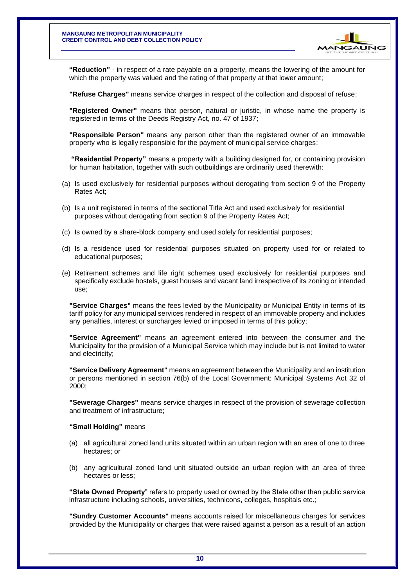

**"Reduction"** - in respect of a rate payable on a property, means the lowering of the amount for which the property was valued and the rating of that property at that lower amount;

**"Refuse Charges"** means service charges in respect of the collection and disposal of refuse;

**"Registered Owner"** means that person, natural or juristic, in whose name the property is registered in terms of the Deeds Registry Act, no. 47 of 1937;

**"Responsible Person"** means any person other than the registered owner of an immovable property who is legally responsible for the payment of municipal service charges;

**"Residential Property"** means a property with a building designed for, or containing provision for human habitation, together with such outbuildings are ordinarily used therewith:

- (a) Is used exclusively for residential purposes without derogating from section 9 of the Property Rates Act;
- (b) Is a unit registered in terms of the sectional Title Act and used exclusively for residential purposes without derogating from section 9 of the Property Rates Act;
- (c) Is owned by a share-block company and used solely for residential purposes;
- (d) Is a residence used for residential purposes situated on property used for or related to educational purposes;
- (e) Retirement schemes and life right schemes used exclusively for residential purposes and specifically exclude hostels, guest houses and vacant land irrespective of its zoning or intended use;

**"Service Charges"** means the fees levied by the Municipality or Municipal Entity in terms of its tariff policy for any municipal services rendered in respect of an immovable property and includes any penalties, interest or surcharges levied or imposed in terms of this policy;

**"Service Agreement"** means an agreement entered into between the consumer and the Municipality for the provision of a Municipal Service which may include but is not limited to water and electricity;

**"Service Delivery Agreement"** means an agreement between the Municipality and an institution or persons mentioned in section 76(b) of the Local Government: Municipal Systems Act 32 of 2000;

**"Sewerage Charges"** means service charges in respect of the provision of sewerage collection and treatment of infrastructure;

### **"Small Holding"** means

- (a) all agricultural zoned land units situated within an urban region with an area of one to three hectares; or
- (b) any agricultural zoned land unit situated outside an urban region with an area of three hectares or less;

**"State Owned Property**" refers to property used or owned by the State other than public service infrastructure including schools, universities, technicons, colleges, hospitals etc.;

**"Sundry Customer Accounts"** means accounts raised for miscellaneous charges for services provided by the Municipality or charges that were raised against a person as a result of an action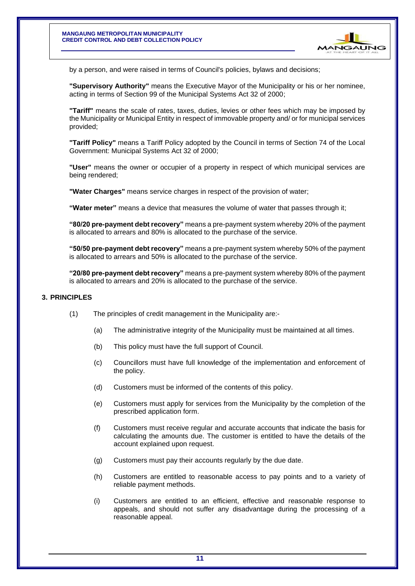

by a person, and were raised in terms of Council's policies, bylaws and decisions;

**"Supervisory Authority"** means the Executive Mayor of the Municipality or his or her nominee, acting in terms of Section 99 of the Municipal Systems Act 32 of 2000;

**"Tariff"** means the scale of rates, taxes, duties, levies or other fees which may be imposed by the Municipality or Municipal Entity in respect of immovable property and/ or for municipal services provided;

**"Tariff Policy"** means a Tariff Policy adopted by the Council in terms of Section 74 of the Local Government: Municipal Systems Act 32 of 2000;

**"User"** means the owner or occupier of a property in respect of which municipal services are being rendered;

**"Water Charges"** means service charges in respect of the provision of water;

**"Water meter"** means a device that measures the volume of water that passes through it;

**"80/20 pre-payment debt recovery"** means a pre-payment system whereby 20% of the payment is allocated to arrears and 80% is allocated to the purchase of the service.

**"50/50 pre-payment debt recovery"** means a pre-payment system whereby 50% of the payment is allocated to arrears and 50% is allocated to the purchase of the service.

**"20/80 pre-payment debt recovery"** means a pre-payment system whereby 80% of the payment is allocated to arrears and 20% is allocated to the purchase of the service.

#### **3. PRINCIPLES**

- (1) The principles of credit management in the Municipality are:-
	- (a) The administrative integrity of the Municipality must be maintained at all times.
	- (b) This policy must have the full support of Council.
	- (c) Councillors must have full knowledge of the implementation and enforcement of the policy.
	- (d) Customers must be informed of the contents of this policy.
	- (e) Customers must apply for services from the Municipality by the completion of the prescribed application form.
	- (f) Customers must receive regular and accurate accounts that indicate the basis for calculating the amounts due. The customer is entitled to have the details of the account explained upon request.
	- (g) Customers must pay their accounts regularly by the due date.
	- (h) Customers are entitled to reasonable access to pay points and to a variety of reliable payment methods.
	- (i) Customers are entitled to an efficient, effective and reasonable response to appeals, and should not suffer any disadvantage during the processing of a reasonable appeal.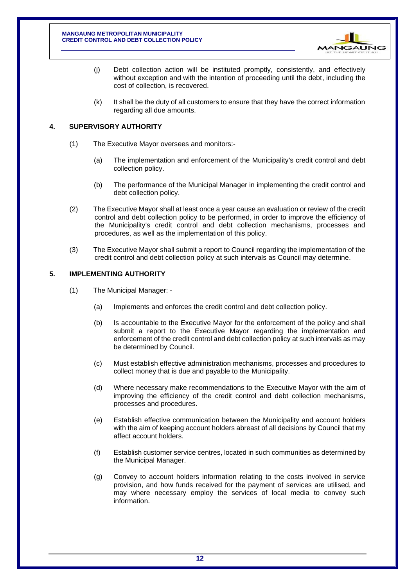

- (j) Debt collection action will be instituted promptly, consistently, and effectively without exception and with the intention of proceeding until the debt, including the cost of collection, is recovered.
- (k) It shall be the duty of all customers to ensure that they have the correct information regarding all due amounts.

## **4. SUPERVISORY AUTHORITY**

- (1) The Executive Mayor oversees and monitors:-
	- (a) The implementation and enforcement of the Municipality's credit control and debt collection policy.
	- (b) The performance of the Municipal Manager in implementing the credit control and debt collection policy.
- (2) The Executive Mayor shall at least once a year cause an evaluation or review of the credit control and debt collection policy to be performed, in order to improve the efficiency of the Municipality's credit control and debt collection mechanisms, processes and procedures, as well as the implementation of this policy.
- (3) The Executive Mayor shall submit a report to Council regarding the implementation of the credit control and debt collection policy at such intervals as Council may determine.

## **5. IMPLEMENTING AUTHORITY**

- (1) The Municipal Manager:
	- (a) Implements and enforces the credit control and debt collection policy.
	- (b) Is accountable to the Executive Mayor for the enforcement of the policy and shall submit a report to the Executive Mayor regarding the implementation and enforcement of the credit control and debt collection policy at such intervals as may be determined by Council.
	- (c) Must establish effective administration mechanisms, processes and procedures to collect money that is due and payable to the Municipality.
	- (d) Where necessary make recommendations to the Executive Mayor with the aim of improving the efficiency of the credit control and debt collection mechanisms, processes and procedures.
	- (e) Establish effective communication between the Municipality and account holders with the aim of keeping account holders abreast of all decisions by Council that my affect account holders.
	- (f) Establish customer service centres, located in such communities as determined by the Municipal Manager.
	- (g) Convey to account holders information relating to the costs involved in service provision, and how funds received for the payment of services are utilised, and may where necessary employ the services of local media to convey such information.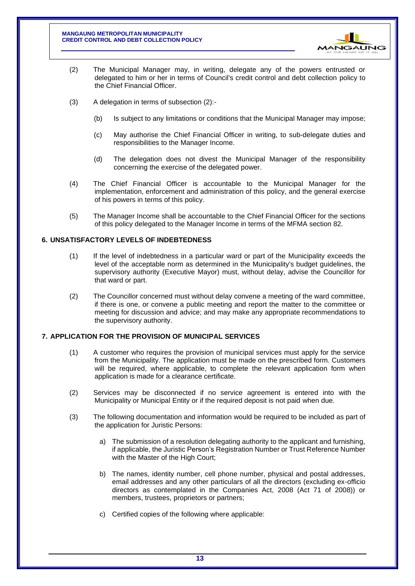

- (2) The Municipal Manager may, in writing, delegate any of the powers entrusted or delegated to him or her in terms of Council's credit control and debt collection policy to the Chief Financial Officer.
- (3) A delegation in terms of subsection (2):-
	- (b) Is subject to any limitations or conditions that the Municipal Manager may impose;
	- (c) May authorise the Chief Financial Officer in writing, to sub-delegate duties and responsibilities to the Manager Income.
	- (d) The delegation does not divest the Municipal Manager of the responsibility concerning the exercise of the delegated power.
- (4) The Chief Financial Officer is accountable to the Municipal Manager for the implementation, enforcement and administration of this policy, and the general exercise of his powers in terms of this policy.
- (5) The Manager Income shall be accountable to the Chief Financial Officer for the sections of this policy delegated to the Manager Income in terms of the MFMA section 82.

#### **6. UNSATISFACTORY LEVELS OF INDEBTEDNESS**

- (1) If the level of indebtedness in a particular ward or part of the Municipality exceeds the level of the acceptable norm as determined in the Municipality's budget guidelines, the supervisory authority (Executive Mayor) must, without delay, advise the Councillor for that ward or part.
- (2) The Councillor concerned must without delay convene a meeting of the ward committee, if there is one, or convene a public meeting and report the matter to the committee or meeting for discussion and advice; and may make any appropriate recommendations to the supervisory authority.

## **7. APPLICATION FOR THE PROVISION OF MUNICIPAL SERVICES**

- (1) A customer who requires the provision of municipal services must apply for the service from the Municipality. The application must be made on the prescribed form. Customers will be required, where applicable, to complete the relevant application form when application is made for a clearance certificate.
- (2) Services may be disconnected if no service agreement is entered into with the Municipality or Municipal Entity or if the required deposit is not paid when due.
- (3) The following documentation and information would be required to be included as part of the application for Juristic Persons:
	- a) The submission of a resolution delegating authority to the applicant and furnishing, if applicable, the Juristic Person's Registration Number or Trust Reference Number with the Master of the High Court;
	- b) The names, identity number, cell phone number, physical and postal addresses, email addresses and any other particulars of all the directors (excluding ex-officio directors as contemplated in the Companies Act, 2008 (Act 71 of 2008)) or members, trustees, proprietors or partners;
	- c) Certified copies of the following where applicable: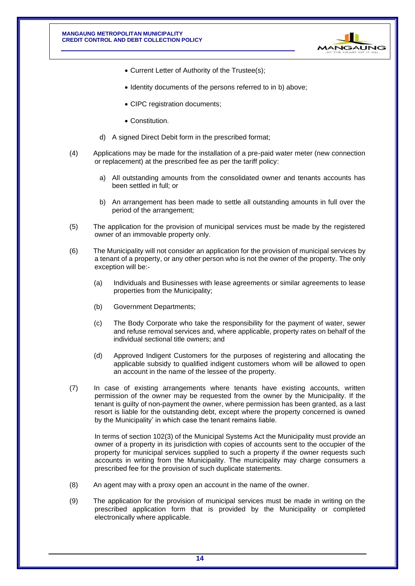

- Current Letter of Authority of the Trustee(s);
- Identity documents of the persons referred to in b) above;
- CIPC registration documents;
- Constitution.
- d) A signed Direct Debit form in the prescribed format;
- (4) Applications may be made for the installation of a pre-paid water meter (new connection or replacement) at the prescribed fee as per the tariff policy:
	- a) All outstanding amounts from the consolidated owner and tenants accounts has been settled in full; or
	- b) An arrangement has been made to settle all outstanding amounts in full over the period of the arrangement;
- (5) The application for the provision of municipal services must be made by the registered owner of an immovable property only.
- (6) The Municipality will not consider an application for the provision of municipal services by a tenant of a property, or any other person who is not the owner of the property. The only exception will be:-
	- (a) Individuals and Businesses with lease agreements or similar agreements to lease properties from the Municipality;
	- (b) Government Departments;
	- (c) The Body Corporate who take the responsibility for the payment of water, sewer and refuse removal services and, where applicable, property rates on behalf of the individual sectional title owners; and
	- (d) Approved Indigent Customers for the purposes of registering and allocating the applicable subsidy to qualified indigent customers whom will be allowed to open an account in the name of the lessee of the property.
- (7) In case of existing arrangements where tenants have existing accounts, written permission of the owner may be requested from the owner by the Municipality. If the tenant is guilty of non-payment the owner, where permission has been granted, as a last resort is liable for the outstanding debt, except where the property concerned is owned by the Municipality' in which case the tenant remains liable.

In terms of section 102(3) of the Municipal Systems Act the Municipality must provide an owner of a property in its jurisdiction with copies of accounts sent to the occupier of the property for municipal services supplied to such a property if the owner requests such accounts in writing from the Municipality. The municipality may charge consumers a prescribed fee for the provision of such duplicate statements.

- (8) An agent may with a proxy open an account in the name of the owner.
- (9) The application for the provision of municipal services must be made in writing on the prescribed application form that is provided by the Municipality or completed electronically where applicable.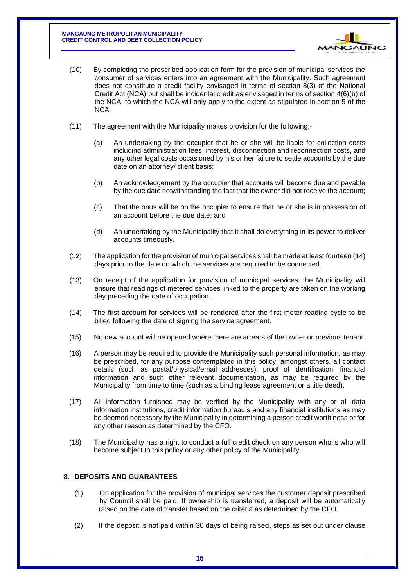

- (10) By completing the prescribed application form for the provision of municipal services the consumer of services enters into an agreement with the Municipality. Such agreement does not constitute a credit facility envisaged in terms of section 8(3) of the National Credit Act (NCA) but shall be incidental credit as envisaged in terms of section 4(6)(b) of the NCA, to which the NCA will only apply to the extent as stipulated in section 5 of the NCA.
- (11) The agreement with the Municipality makes provision for the following:-
	- (a) An undertaking by the occupier that he or she will be liable for collection costs including administration fees, interest, disconnection and reconnection costs, and any other legal costs occasioned by his or her failure to settle accounts by the due date on an attorney/ client basis;
	- (b) An acknowledgement by the occupier that accounts will become due and payable by the due date notwithstanding the fact that the owner did not receive the account;
	- (c) That the onus will be on the occupier to ensure that he or she is in possession of an account before the due date; and
	- (d) An undertaking by the Municipality that it shall do everything in its power to deliver accounts timeously.
- (12) The application for the provision of municipal services shall be made at least fourteen (14) days prior to the date on which the services are required to be connected.
- (13) On receipt of the application for provision of municipal services, the Municipality will ensure that readings of metered services linked to the property are taken on the working day preceding the date of occupation.
- (14) The first account for services will be rendered after the first meter reading cycle to be billed following the date of signing the service agreement.
- (15) No new account will be opened where there are arrears of the owner or previous tenant.
- (16) A person may be required to provide the Municipality such personal information, as may be prescribed, for any purpose contemplated in this policy, amongst others, all contact details (such as postal/physical/email addresses), proof of identification, financial information and such other relevant documentation, as may be required by the Municipality from time to time (such as a binding lease agreement or a title deed).
- (17) All information furnished may be verified by the Municipality with any or all data information institutions, credit information bureau's and any financial institutions as may be deemed necessary by the Municipality in determining a person credit worthiness or for any other reason as determined by the CFO.
- (18) The Municipality has a right to conduct a full credit check on any person who is who will become subject to this policy or any other policy of the Municipality.

## **8. DEPOSITS AND GUARANTEES**

- (1) On application for the provision of municipal services the customer deposit prescribed by Council shall be paid. If ownership is transferred, a deposit will be automatically raised on the date of transfer based on the criteria as determined by the CFO.
- (2) If the deposit is not paid within 30 days of being raised, steps as set out under clause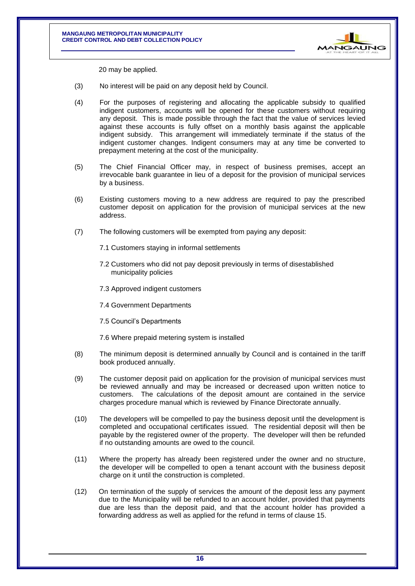

20 may be applied.

- (3) No interest will be paid on any deposit held by Council.
- (4) For the purposes of registering and allocating the applicable subsidy to qualified indigent customers, accounts will be opened for these customers without requiring any deposit. This is made possible through the fact that the value of services levied against these accounts is fully offset on a monthly basis against the applicable indigent subsidy. This arrangement will immediately terminate if the status of the indigent customer changes. Indigent consumers may at any time be converted to prepayment metering at the cost of the municipality.
- (5) The Chief Financial Officer may, in respect of business premises, accept an irrevocable bank guarantee in lieu of a deposit for the provision of municipal services by a business.
- (6) Existing customers moving to a new address are required to pay the prescribed customer deposit on application for the provision of municipal services at the new address.
- (7) The following customers will be exempted from paying any deposit:
	- 7.1 Customers staying in informal settlements
	- 7.2 Customers who did not pay deposit previously in terms of disestablished municipality policies
	- 7.3 Approved indigent customers
	- 7.4 Government Departments
	- 7.5 Council's Departments
	- 7.6 Where prepaid metering system is installed
- (8) The minimum deposit is determined annually by Council and is contained in the tariff book produced annually.
- (9) The customer deposit paid on application for the provision of municipal services must be reviewed annually and may be increased or decreased upon written notice to customers. The calculations of the deposit amount are contained in the service charges procedure manual which is reviewed by Finance Directorate annually.
- (10) The developers will be compelled to pay the business deposit until the development is completed and occupational certificates issued. The residential deposit will then be payable by the registered owner of the property. The developer will then be refunded if no outstanding amounts are owed to the council.
- (11) Where the property has already been registered under the owner and no structure, the developer will be compelled to open a tenant account with the business deposit charge on it until the construction is completed.
- (12) On termination of the supply of services the amount of the deposit less any payment due to the Municipality will be refunded to an account holder, provided that payments due are less than the deposit paid, and that the account holder has provided a forwarding address as well as applied for the refund in terms of clause 15.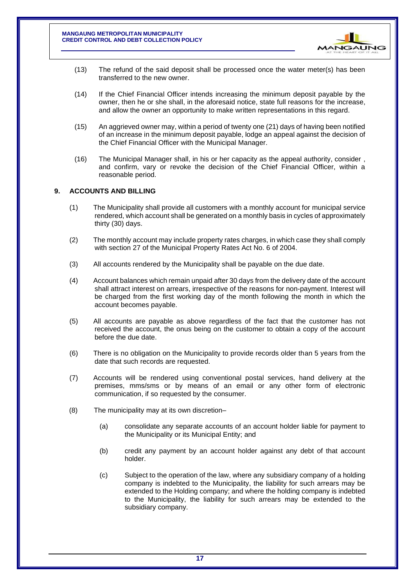

- (13) The refund of the said deposit shall be processed once the water meter(s) has been transferred to the new owner.
- (14) If the Chief Financial Officer intends increasing the minimum deposit payable by the owner, then he or she shall, in the aforesaid notice, state full reasons for the increase, and allow the owner an opportunity to make written representations in this regard.
- (15) An aggrieved owner may, within a period of twenty one (21) days of having been notified of an increase in the minimum deposit payable, lodge an appeal against the decision of the Chief Financial Officer with the Municipal Manager.
- (16) The Municipal Manager shall, in his or her capacity as the appeal authority, consider , and confirm, vary or revoke the decision of the Chief Financial Officer, within a reasonable period.

#### <span id="page-17-0"></span>**9. ACCOUNTS AND BILLING**

- (1) The Municipality shall provide all customers with a monthly account for municipal service rendered, which account shall be generated on a monthly basis in cycles of approximately thirty (30) days.
- (2) The monthly account may include property rates charges, in which case they shall comply with section 27 of the Municipal Property Rates Act No. 6 of 2004.
- (3) All accounts rendered by the Municipality shall be payable on the due date.
- (4) Account balances which remain unpaid after 30 days from the delivery date of the account shall attract interest on arrears, irrespective of the reasons for non-payment. Interest will be charged from the first working day of the month following the month in which the account becomes payable.
- (5) All accounts are payable as above regardless of the fact that the customer has not received the account, the onus being on the customer to obtain a copy of the account before the due date.
- (6) There is no obligation on the Municipality to provide records older than 5 years from the date that such records are requested.
- (7) Accounts will be rendered using conventional postal services, hand delivery at the premises, mms/sms or by means of an email or any other form of electronic communication, if so requested by the consumer.
- <span id="page-17-1"></span>(8) The municipality may at its own discretion–
	- (a) consolidate any separate accounts of an account holder liable for payment to the Municipality or its Municipal Entity; and
	- (b) credit any payment by an account holder against any debt of that account holder.
	- (c) Subject to the operation of the law, where any subsidiary company of a holding company is indebted to the Municipality, the liability for such arrears may be extended to the Holding company; and where the holding company is indebted to the Municipality, the liability for such arrears may be extended to the subsidiary company.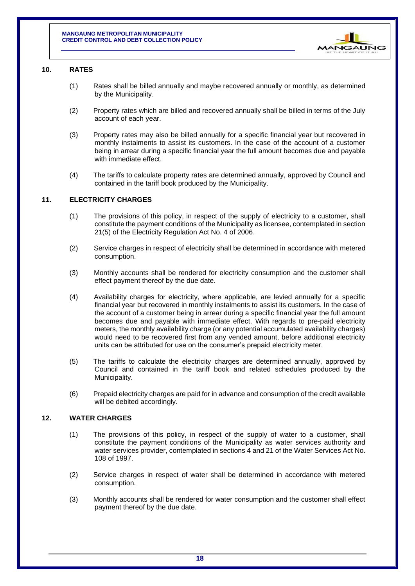

#### **10. RATES**

- (1) Rates shall be billed annually and maybe recovered annually or monthly, as determined by the Municipality.
- (2) Property rates which are billed and recovered annually shall be billed in terms of the July account of each year.
- (3) Property rates may also be billed annually for a specific financial year but recovered in monthly instalments to assist its customers. In the case of the account of a customer being in arrear during a specific financial year the full amount becomes due and payable with immediate effect.
- (4) The tariffs to calculate property rates are determined annually, approved by Council and contained in the tariff book produced by the Municipality.

## **11. ELECTRICITY CHARGES**

- (1) The provisions of this policy, in respect of the supply of electricity to a customer, shall constitute the payment conditions of the Municipality as licensee, contemplated in section 21(5) of the Electricity Regulation Act No. 4 of 2006.
- (2) Service charges in respect of electricity shall be determined in accordance with metered consumption.
- (3) Monthly accounts shall be rendered for electricity consumption and the customer shall effect payment thereof by the due date.
- (4) Availability charges for electricity, where applicable, are levied annually for a specific financial year but recovered in monthly instalments to assist its customers. In the case of the account of a customer being in arrear during a specific financial year the full amount becomes due and payable with immediate effect. With regards to pre-paid electricity meters, the monthly availability charge (or any potential accumulated availability charges) would need to be recovered first from any vended amount, before additional electricity units can be attributed for use on the consumer's prepaid electricity meter.
- (5) The tariffs to calculate the electricity charges are determined annually, approved by Council and contained in the tariff book and related schedules produced by the Municipality.
- (6) Prepaid electricity charges are paid for in advance and consumption of the credit available will be debited accordingly.

#### <span id="page-18-0"></span>**12. WATER CHARGES**

- (1) The provisions of this policy, in respect of the supply of water to a customer, shall constitute the payment conditions of the Municipality as water services authority and water services provider, contemplated in sections 4 and 21 of the Water Services Act No. 108 of 1997.
- (2) Service charges in respect of water shall be determined in accordance with metered consumption.
- (3) Monthly accounts shall be rendered for water consumption and the customer shall effect payment thereof by the due date.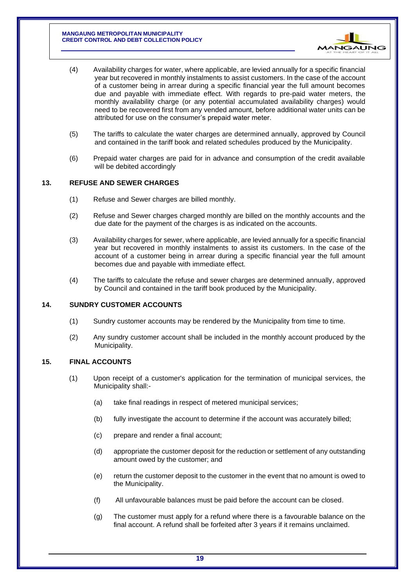

- (4) Availability charges for water, where applicable, are levied annually for a specific financial year but recovered in monthly instalments to assist customers. In the case of the account of a customer being in arrear during a specific financial year the full amount becomes due and payable with immediate effect. With regards to pre-paid water meters, the monthly availability charge (or any potential accumulated availability charges) would need to be recovered first from any vended amount, before additional water units can be attributed for use on the consumer's prepaid water meter.
- (5) The tariffs to calculate the water charges are determined annually, approved by Council and contained in the tariff book and related schedules produced by the Municipality.
- (6) Prepaid water charges are paid for in advance and consumption of the credit available will be debited accordingly

### <span id="page-19-0"></span>**13. REFUSE AND SEWER CHARGES**

- (1) Refuse and Sewer charges are billed monthly.
- (2) Refuse and Sewer charges charged monthly are billed on the monthly accounts and the due date for the payment of the charges is as indicated on the accounts.
- (3) Availability charges for sewer, where applicable, are levied annually for a specific financial year but recovered in monthly instalments to assist its customers. In the case of the account of a customer being in arrear during a specific financial year the full amount becomes due and payable with immediate effect.
- (4) The tariffs to calculate the refuse and sewer charges are determined annually, approved by Council and contained in the tariff book produced by the Municipality.

#### <span id="page-19-1"></span>**14. SUNDRY CUSTOMER ACCOUNTS**

- (1) Sundry customer accounts may be rendered by the Municipality from time to time.
- (2) Any sundry customer account shall be included in the monthly account produced by the Municipality.

## <span id="page-19-2"></span>**15. FINAL ACCOUNTS**

- (1) Upon receipt of a customer's application for the termination of municipal services, the Municipality shall:-
	- (a) take final readings in respect of metered municipal services;
	- (b) fully investigate the account to determine if the account was accurately billed;
	- (c) prepare and render a final account;
	- (d) appropriate the customer deposit for the reduction or settlement of any outstanding amount owed by the customer; and
	- (e) return the customer deposit to the customer in the event that no amount is owed to the Municipality.
	- (f) All unfavourable balances must be paid before the account can be closed.
	- (g) The customer must apply for a refund where there is a favourable balance on the final account. A refund shall be forfeited after 3 years if it remains unclaimed.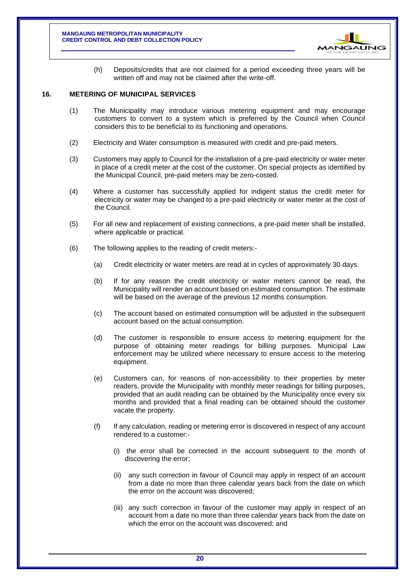

(h) Deposits/credits that are not claimed for a period exceeding three years will be written off and may not be claimed after the write-off.

#### <span id="page-20-0"></span>**16. METERING OF MUNICIPAL SERVICES**

- (1) The Municipality may introduce various metering equipment and may encourage customers to convert to a system which is preferred by the Council when Council considers this to be beneficial to its functioning and operations.
- (2) Electricity and Water consumption is measured with credit and pre-paid meters.
- (3) Customers may apply to Council for the installation of a pre-paid electricity or water meter in place of a credit meter at the cost of the customer. On special projects as identified by the Municipal Council, pre-paid meters may be zero-costed.
- (4) Where a customer has successfully applied for indigent status the credit meter for electricity or water may be changed to a pre-paid electricity or water meter at the cost of the Council.
- (5) For all new and replacement of existing connections, a pre-paid meter shall be installed, where applicable or practical.
- (6) The following applies to the reading of credit meters:-
	- (a) Credit electricity or water meters are read at in cycles of approximately 30 days.
	- (b) If for any reason the credit electricity or water meters cannot be read, the Municipality will render an account based on estimated consumption. The estimate will be based on the average of the previous 12 months consumption.
	- (c) The account based on estimated consumption will be adjusted in the subsequent account based on the actual consumption.
	- (d) The customer is responsible to ensure access to metering equipment for the purpose of obtaining meter readings for billing purposes. Municipal Law enforcement may be utilized where necessary to ensure access to the metering equipment.
	- (e) Customers can, for reasons of non-accessibility to their properties by meter readers, provide the Municipality with monthly meter readings for billing purposes, provided that an audit reading can be obtained by the Municipality once every six months and provided that a final reading can be obtained should the customer vacate the property.
	- (f) If any calculation, reading or metering error is discovered in respect of any account rendered to a customer:-
		- (i) the error shall be corrected in the account subsequent to the month of discovering the error;
		- (ii) any such correction in favour of Council may apply in respect of an account from a date no more than three calendar years back from the date on which the error on the account was discovered;
		- (iii) any such correction in favour of the customer may apply in respect of an account from a date no more than three calendar years back from the date on which the error on the account was discovered; and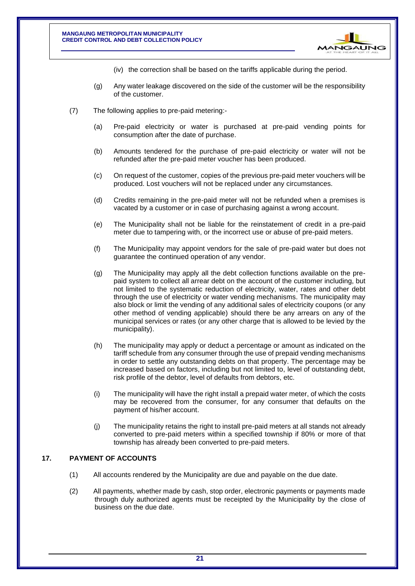

- (iv) the correction shall be based on the tariffs applicable during the period.
- (g) Any water leakage discovered on the side of the customer will be the responsibility of the customer.
- (7) The following applies to pre-paid metering:-
	- (a) Pre-paid electricity or water is purchased at pre-paid vending points for consumption after the date of purchase.
	- (b) Amounts tendered for the purchase of pre-paid electricity or water will not be refunded after the pre-paid meter voucher has been produced.
	- (c) On request of the customer, copies of the previous pre-paid meter vouchers will be produced. Lost vouchers will not be replaced under any circumstances.
	- (d) Credits remaining in the pre-paid meter will not be refunded when a premises is vacated by a customer or in case of purchasing against a wrong account.
	- (e) The Municipality shall not be liable for the reinstatement of credit in a pre-paid meter due to tampering with, or the incorrect use or abuse of pre-paid meters.
	- (f) The Municipality may appoint vendors for the sale of pre-paid water but does not guarantee the continued operation of any vendor.
	- (g) The Municipality may apply all the debt collection functions available on the prepaid system to collect all arrear debt on the account of the customer including, but not limited to the systematic reduction of electricity, water, rates and other debt through the use of electricity or water vending mechanisms. The municipality may also block or limit the vending of any additional sales of electricity coupons (or any other method of vending applicable) should there be any arrears on any of the municipal services or rates (or any other charge that is allowed to be levied by the municipality).
	- (h) The municipality may apply or deduct a percentage or amount as indicated on the tariff schedule from any consumer through the use of prepaid vending mechanisms in order to settle any outstanding debts on that property. The percentage may be increased based on factors, including but not limited to, level of outstanding debt, risk profile of the debtor, level of defaults from debtors, etc.
	- (i) The municipality will have the right install a prepaid water meter, of which the costs may be recovered from the consumer, for any consumer that defaults on the payment of his/her account.
	- (j) The municipality retains the right to install pre-paid meters at all stands not already converted to pre-paid meters within a specified township if 80% or more of that township has already been converted to pre-paid meters.

## <span id="page-21-0"></span>**17. PAYMENT OF ACCOUNTS**

- (1) All accounts rendered by the Municipality are due and payable on the due date.
- (2) All payments, whether made by cash, stop order, electronic payments or payments made through duly authorized agents must be receipted by the Municipality by the close of business on the due date.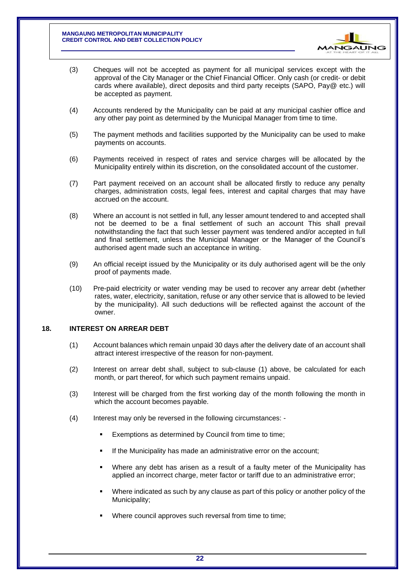

- (3) Cheques will not be accepted as payment for all municipal services except with the approval of the City Manager or the Chief Financial Officer. Only cash (or credit- or debit cards where available), direct deposits and third party receipts (SAPO, Pay@ etc.) will be accepted as payment.
- (4) Accounts rendered by the Municipality can be paid at any municipal cashier office and any other pay point as determined by the Municipal Manager from time to time.
- (5) The payment methods and facilities supported by the Municipality can be used to make payments on accounts.
- (6) Payments received in respect of rates and service charges will be allocated by the Municipality entirely within its discretion, on the consolidated account of the customer.
- (7) Part payment received on an account shall be allocated firstly to reduce any penalty charges, administration costs, legal fees, interest and capital charges that may have accrued on the account.
- (8) Where an account is not settled in full, any lesser amount tendered to and accepted shall not be deemed to be a final settlement of such an account This shall prevail notwithstanding the fact that such lesser payment was tendered and/or accepted in full and final settlement, unless the Municipal Manager or the Manager of the Council's authorised agent made such an acceptance in writing.
- (9) An official receipt issued by the Municipality or its duly authorised agent will be the only proof of payments made.
- (10) Pre-paid electricity or water vending may be used to recover any arrear debt (whether rates, water, electricity, sanitation, refuse or any other service that is allowed to be levied by the municipality). All such deductions will be reflected against the account of the owner.

## **18. INTEREST ON ARREAR DEBT**

- (1) Account balances which remain unpaid 30 days after the delivery date of an account shall attract interest irrespective of the reason for non-payment.
- (2) Interest on arrear debt shall, subject to sub-clause (1) above, be calculated for each month, or part thereof, for which such payment remains unpaid.
- (3) Interest will be charged from the first working day of the month following the month in which the account becomes payable.
- (4) Interest may only be reversed in the following circumstances:
	- Exemptions as determined by Council from time to time;
	- If the Municipality has made an administrative error on the account;
	- Where any debt has arisen as a result of a faulty meter of the Municipality has applied an incorrect charge, meter factor or tariff due to an administrative error;
	- Where indicated as such by any clause as part of this policy or another policy of the Municipality;
	- Where council approves such reversal from time to time;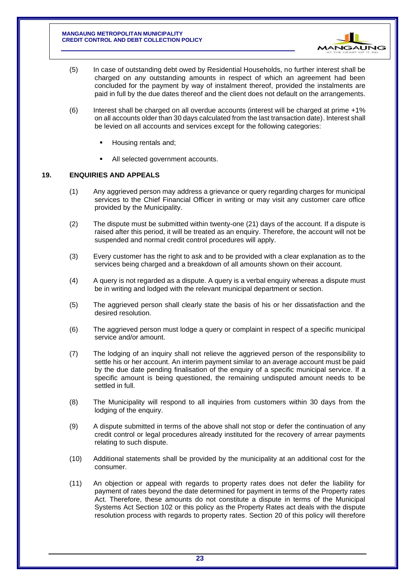

- (5) In case of outstanding debt owed by Residential Households, no further interest shall be charged on any outstanding amounts in respect of which an agreement had been concluded for the payment by way of instalment thereof, provided the instalments are paid in full by the due dates thereof and the client does not default on the arrangements.
- (6) Interest shall be charged on all overdue accounts (interest will be charged at prime +1% on all accounts older than 30 days calculated from the last transaction date). Interest shall be levied on all accounts and services except for the following categories:
	- Housing rentals and;
	- All selected government accounts.

## **19. ENQUIRIES AND APPEALS**

- (1) Any aggrieved person may address a grievance or query regarding charges for municipal services to the Chief Financial Officer in writing or may visit any customer care office provided by the Municipality.
- (2) The dispute must be submitted within twenty-one (21) days of the account. If a dispute is raised after this period, it will be treated as an enquiry. Therefore, the account will not be suspended and normal credit control procedures will apply.
- (3) Every customer has the right to ask and to be provided with a clear explanation as to the services being charged and a breakdown of all amounts shown on their account.
- (4) A query is not regarded as a dispute. A query is a verbal enquiry whereas a dispute must be in writing and lodged with the relevant municipal department or section.
- (5) The aggrieved person shall clearly state the basis of his or her dissatisfaction and the desired resolution.
- (6) The aggrieved person must lodge a query or complaint in respect of a specific municipal service and/or amount.
- (7) The lodging of an inquiry shall not relieve the aggrieved person of the responsibility to settle his or her account. An interim payment similar to an average account must be paid by the due date pending finalisation of the enquiry of a specific municipal service. If a specific amount is being questioned, the remaining undisputed amount needs to be settled in full.
- (8) The Municipality will respond to all inquiries from customers within 30 days from the lodging of the enquiry.
- (9) A dispute submitted in terms of the above shall not stop or defer the continuation of any credit control or legal procedures already instituted for the recovery of arrear payments relating to such dispute.
- (10) Additional statements shall be provided by the municipality at an additional cost for the consumer.
- (11) An objection or appeal with regards to property rates does not defer the liability for payment of rates beyond the date determined for payment in terms of the Property rates Act. Therefore, these amounts do not constitute a dispute in terms of the Municipal Systems Act Section 102 or this policy as the Property Rates act deals with the dispute resolution process with regards to property rates. Section 20 of this policy will therefore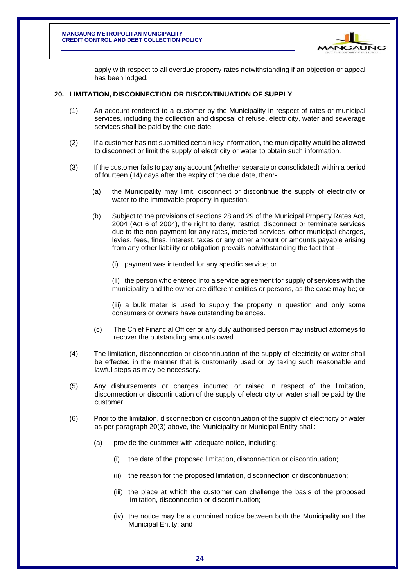

apply with respect to all overdue property rates notwithstanding if an objection or appeal has been lodged.

#### **20. LIMITATION, DISCONNECTION OR DISCONTINUATION OF SUPPLY**

- (1) An account rendered to a customer by the Municipality in respect of rates or municipal services, including the collection and disposal of refuse, electricity, water and sewerage services shall be paid by the due date.
- (2) If a customer has not submitted certain key information, the municipality would be allowed to disconnect or limit the supply of electricity or water to obtain such information.
- (3) If the customer fails to pay any account (whether separate or consolidated) within a period of fourteen (14) days after the expiry of the due date, then:-
	- (a) the Municipality may limit, disconnect or discontinue the supply of electricity or water to the immovable property in question;
	- (b) Subject to the provisions of sections 28 and 29 of the Municipal Property Rates Act, 2004 (Act 6 of 2004), the right to deny, restrict, disconnect or terminate services due to the non-payment for any rates, metered services, other municipal charges, levies, fees, fines, interest, taxes or any other amount or amounts payable arising from any other liability or obligation prevails notwithstanding the fact that –
		- (i) payment was intended for any specific service; or

(ii) the person who entered into a service agreement for supply of services with the municipality and the owner are different entities or persons, as the case may be; or

(iii) a bulk meter is used to supply the property in question and only some consumers or owners have outstanding balances.

- (c) The Chief Financial Officer or any duly authorised person may instruct attorneys to recover the outstanding amounts owed.
- (4) The limitation, disconnection or discontinuation of the supply of electricity or water shall be effected in the manner that is customarily used or by taking such reasonable and lawful steps as may be necessary.
- (5) Any disbursements or charges incurred or raised in respect of the limitation, disconnection or discontinuation of the supply of electricity or water shall be paid by the customer.
- (6) Prior to the limitation, disconnection or discontinuation of the supply of electricity or water as per paragraph 20(3) above, the Municipality or Municipal Entity shall:-
	- (a) provide the customer with adequate notice, including:-
		- (i) the date of the proposed limitation, disconnection or discontinuation;
		- (ii) the reason for the proposed limitation, disconnection or discontinuation;
		- (iii) the place at which the customer can challenge the basis of the proposed limitation, disconnection or discontinuation;
		- (iv) the notice may be a combined notice between both the Municipality and the Municipal Entity; and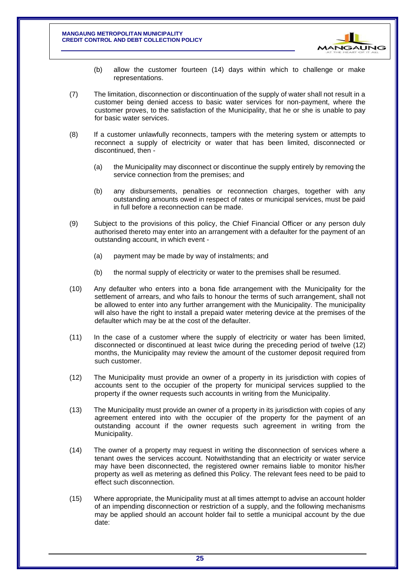

- (b) allow the customer fourteen (14) days within which to challenge or make representations.
- (7) The limitation, disconnection or discontinuation of the supply of water shall not result in a customer being denied access to basic water services for non-payment, where the customer proves, to the satisfaction of the Municipality, that he or she is unable to pay for basic water services.
- (8) If a customer unlawfully reconnects, tampers with the metering system or attempts to reconnect a supply of electricity or water that has been limited, disconnected or discontinued, then -
	- (a) the Municipality may disconnect or discontinue the supply entirely by removing the service connection from the premises; and
	- (b) any disbursements, penalties or reconnection charges, together with any outstanding amounts owed in respect of rates or municipal services, must be paid in full before a reconnection can be made.
- (9) Subject to the provisions of this policy, the Chief Financial Officer or any person duly authorised thereto may enter into an arrangement with a defaulter for the payment of an outstanding account, in which event -
	- (a) payment may be made by way of instalments; and
	- (b) the normal supply of electricity or water to the premises shall be resumed.
- (10) Any defaulter who enters into a bona fide arrangement with the Municipality for the settlement of arrears, and who fails to honour the terms of such arrangement, shall not be allowed to enter into any further arrangement with the Municipality. The municipality will also have the right to install a prepaid water metering device at the premises of the defaulter which may be at the cost of the defaulter.
- (11) In the case of a customer where the supply of electricity or water has been limited, disconnected or discontinued at least twice during the preceding period of twelve (12) months, the Municipality may review the amount of the customer deposit required from such customer.
- (12) The Municipality must provide an owner of a property in its jurisdiction with copies of accounts sent to the occupier of the property for municipal services supplied to the property if the owner requests such accounts in writing from the Municipality.
- (13) The Municipality must provide an owner of a property in its jurisdiction with copies of any agreement entered into with the occupier of the property for the payment of an outstanding account if the owner requests such agreement in writing from the Municipality.
- (14) The owner of a property may request in writing the disconnection of services where a tenant owes the services account. Notwithstanding that an electricity or water service may have been disconnected, the registered owner remains liable to monitor his/her property as well as metering as defined this Policy. The relevant fees need to be paid to effect such disconnection.
- (15) Where appropriate, the Municipality must at all times attempt to advise an account holder of an impending disconnection or restriction of a supply, and the following mechanisms may be applied should an account holder fail to settle a municipal account by the due date: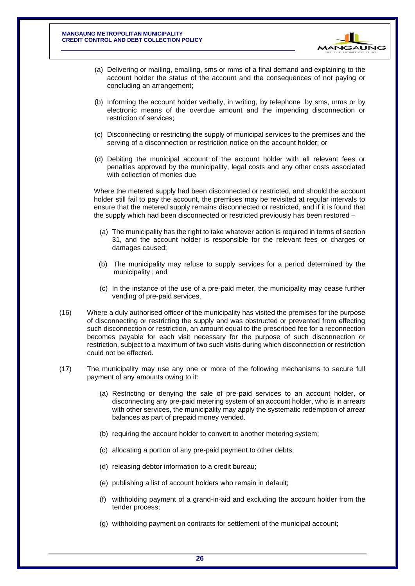

- (a) Delivering or mailing, emailing, sms or mms of a final demand and explaining to the account holder the status of the account and the consequences of not paying or concluding an arrangement;
- (b) Informing the account holder verbally, in writing, by telephone ,by sms, mms or by electronic means of the overdue amount and the impending disconnection or restriction of services;
- (c) Disconnecting or restricting the supply of municipal services to the premises and the serving of a disconnection or restriction notice on the account holder; or
- (d) Debiting the municipal account of the account holder with all relevant fees or penalties approved by the municipality, legal costs and any other costs associated with collection of monies due

Where the metered supply had been disconnected or restricted, and should the account holder still fail to pay the account, the premises may be revisited at regular intervals to ensure that the metered supply remains disconnected or restricted, and if it is found that the supply which had been disconnected or restricted previously has been restored –

- (a) The municipality has the right to take whatever action is required in terms of section 31, and the account holder is responsible for the relevant fees or charges or damages caused;
- (b) The municipality may refuse to supply services for a period determined by the municipality ; and
- (c) In the instance of the use of a pre-paid meter, the municipality may cease further vending of pre-paid services.
- (16) Where a duly authorised officer of the municipality has visited the premises for the purpose of disconnecting or restricting the supply and was obstructed or prevented from effecting such disconnection or restriction, an amount equal to the prescribed fee for a reconnection becomes payable for each visit necessary for the purpose of such disconnection or restriction, subject to a maximum of two such visits during which disconnection or restriction could not be effected.
- (17) The municipality may use any one or more of the following mechanisms to secure full payment of any amounts owing to it:
	- (a) Restricting or denying the sale of pre-paid services to an account holder, or disconnecting any pre-paid metering system of an account holder, who is in arrears with other services, the municipality may apply the systematic redemption of arrear balances as part of prepaid money vended.
	- (b) requiring the account holder to convert to another metering system;
	- (c) allocating a portion of any pre-paid payment to other debts;
	- (d) releasing debtor information to a credit bureau;
	- (e) publishing a list of account holders who remain in default;
	- (f) withholding payment of a grand-in-aid and excluding the account holder from the tender process;
	- (g) withholding payment on contracts for settlement of the municipal account;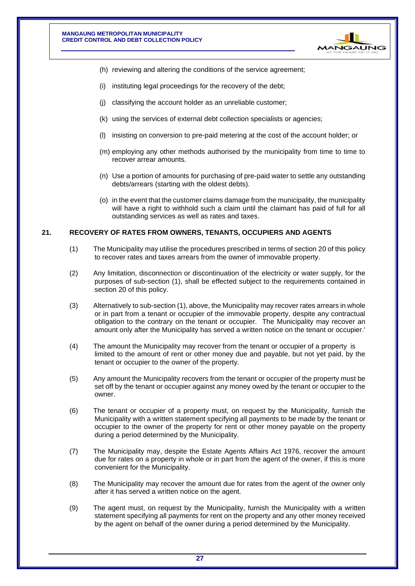

- (h) reviewing and altering the conditions of the service agreement;
- (i) instituting legal proceedings for the recovery of the debt;
- (j) classifying the account holder as an unreliable customer;
- (k) using the services of external debt collection specialists or agencies;
- (l) insisting on conversion to pre-paid metering at the cost of the account holder; or
- (m) employing any other methods authorised by the municipality from time to time to recover arrear amounts.
- (n) Use a portion of amounts for purchasing of pre-paid water to settle any outstanding debts/arrears (starting with the oldest debts).
- (o) in the event that the customer claims damage from the municipality, the municipality will have a right to withhold such a claim until the claimant has paid of full for all outstanding services as well as rates and taxes.

#### **21. RECOVERY OF RATES FROM OWNERS, TENANTS, OCCUPIERS AND AGENTS**

- (1) The Municipality may utilise the procedures prescribed in terms of section 20 of this policy to recover rates and taxes arrears from the owner of immovable property.
- (2) Any limitation, disconnection or discontinuation of the electricity or water supply, for the purposes of sub-section (1), shall be effected subject to the requirements contained in section 20 of this policy.
- (3) Alternatively to sub-section (1), above, the Municipality may recover rates arrears in whole or in part from a tenant or occupier of the immovable property, despite any contractual obligation to the contrary on the tenant or occupier. The Municipality may recover an amount only after the Municipality has served a written notice on the tenant or occupier.'
- (4) The amount the Municipality may recover from the tenant or occupier of a property is limited to the amount of rent or other money due and payable, but not yet paid, by the tenant or occupier to the owner of the property.
- (5) Any amount the Municipality recovers from the tenant or occupier of the property must be set off by the tenant or occupier against any money owed by the tenant or occupier to the owner.
- (6) The tenant or occupier of a property must, on request by the Municipality, furnish the Municipality with a written statement specifying all payments to be made by the tenant or occupier to the owner of the property for rent or other money payable on the property during a period determined by the Municipality.
- (7) The Municipality may, despite the Estate Agents Affairs Act 1976, recover the amount due for rates on a property in whole or in part from the agent of the owner, if this is more convenient for the Municipality.
- (8) The Municipality may recover the amount due for rates from the agent of the owner only after it has served a written notice on the agent.
- (9) The agent must, on request by the Municipality, furnish the Municipality with a written statement specifying all payments for rent on the property and any other money received by the agent on behalf of the owner during a period determined by the Municipality.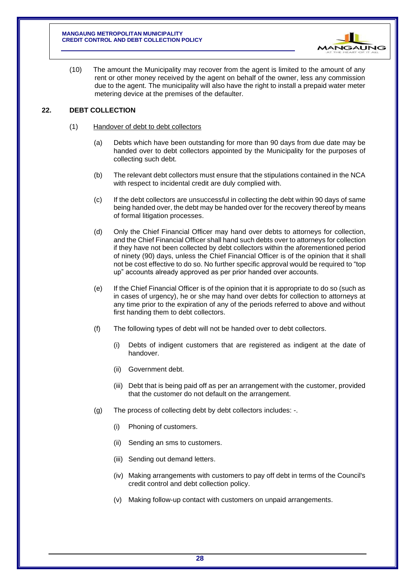

(10) The amount the Municipality may recover from the agent is limited to the amount of any rent or other money received by the agent on behalf of the owner, less any commission due to the agent. The municipality will also have the right to install a prepaid water meter metering device at the premises of the defaulter.

## **22. DEBT COLLECTION**

- (1) Handover of debt to debt collectors
	- (a) Debts which have been outstanding for more than 90 days from due date may be handed over to debt collectors appointed by the Municipality for the purposes of collecting such debt.
	- (b) The relevant debt collectors must ensure that the stipulations contained in the NCA with respect to incidental credit are duly complied with.
	- (c) If the debt collectors are unsuccessful in collecting the debt within 90 days of same being handed over, the debt may be handed over for the recovery thereof by means of formal litigation processes.
	- (d) Only the Chief Financial Officer may hand over debts to attorneys for collection, and the Chief Financial Officer shall hand such debts over to attorneys for collection if they have not been collected by debt collectors within the aforementioned period of ninety (90) days, unless the Chief Financial Officer is of the opinion that it shall not be cost effective to do so. No further specific approval would be required to "top up" accounts already approved as per prior handed over accounts.
	- (e) If the Chief Financial Officer is of the opinion that it is appropriate to do so (such as in cases of urgency), he or she may hand over debts for collection to attorneys at any time prior to the expiration of any of the periods referred to above and without first handing them to debt collectors.
	- (f) The following types of debt will not be handed over to debt collectors.
		- (i) Debts of indigent customers that are registered as indigent at the date of handover.
		- (ii) Government debt.
		- (iii) Debt that is being paid off as per an arrangement with the customer, provided that the customer do not default on the arrangement.
	- (g) The process of collecting debt by debt collectors includes: -.
		- (i) Phoning of customers.
		- (ii) Sending an sms to customers.
		- (iii) Sending out demand letters.
		- (iv) Making arrangements with customers to pay off debt in terms of the Council's credit control and debt collection policy.
		- (v) Making follow-up contact with customers on unpaid arrangements.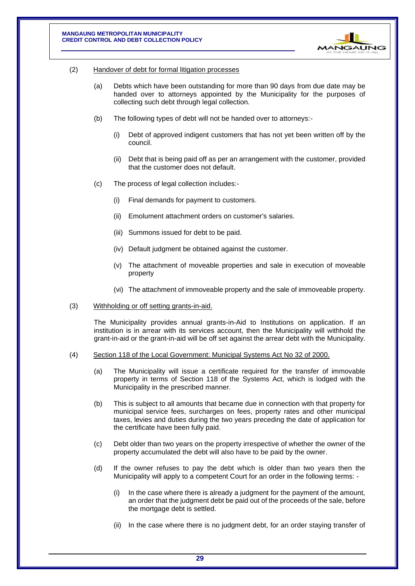

- (2) Handover of debt for formal litigation processes
	- (a) Debts which have been outstanding for more than 90 days from due date may be handed over to attorneys appointed by the Municipality for the purposes of collecting such debt through legal collection.
	- (b) The following types of debt will not be handed over to attorneys:-
		- (i) Debt of approved indigent customers that has not yet been written off by the council.
		- (ii) Debt that is being paid off as per an arrangement with the customer, provided that the customer does not default.
	- (c) The process of legal collection includes:-
		- (i) Final demands for payment to customers.
		- (ii) Emolument attachment orders on customer's salaries.
		- (iii) Summons issued for debt to be paid.
		- (iv) Default judgment be obtained against the customer.
		- (v) The attachment of moveable properties and sale in execution of moveable property
		- (vi) The attachment of immoveable property and the sale of immoveable property.
- (3) Withholding or off setting grants-in-aid.

The Municipality provides annual grants-in-Aid to Institutions on application. If an institution is in arrear with its services account, then the Municipality will withhold the grant-in-aid or the grant-in-aid will be off set against the arrear debt with the Municipality.

- (4) Section 118 of the Local Government: Municipal Systems Act No 32 of 2000.
	- (a) The Municipality will issue a certificate required for the transfer of immovable property in terms of Section 118 of the Systems Act, which is lodged with the Municipality in the prescribed manner.
	- (b) This is subject to all amounts that became due in connection with that property for municipal service fees, surcharges on fees, property rates and other municipal taxes, levies and duties during the two years preceding the date of application for the certificate have been fully paid.
	- (c) Debt older than two years on the property irrespective of whether the owner of the property accumulated the debt will also have to be paid by the owner.
	- (d) If the owner refuses to pay the debt which is older than two years then the Municipality will apply to a competent Court for an order in the following terms: -
		- (i) In the case where there is already a judgment for the payment of the amount, an order that the judgment debt be paid out of the proceeds of the sale, before the mortgage debt is settled.
		- (ii) In the case where there is no judgment debt, for an order staying transfer of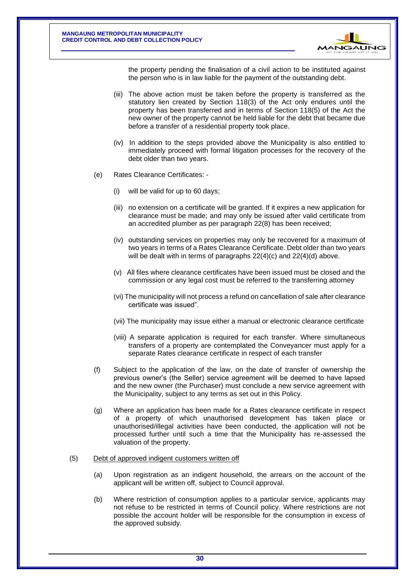

the property pending the finalisation of a civil action to be instituted against the person who is in law liable for the payment of the outstanding debt.

- (iii) The above action must be taken before the property is transferred as the statutory lien created by Section 118(3) of the Act only endures until the property has been transferred and in terms of Section 118(5) of the Act the new owner of the property cannot be held liable for the debt that became due before a transfer of a residential property took place.
- (iv) In addition to the steps provided above the Municipality is also entitled to immediately proceed with formal litigation processes for the recovery of the debt older than two years.
- (e) Rates Clearance Certificates:
	- (i) will be valid for up to 60 days;
	- (iii) no extension on a certificate will be granted. If it expires a new application for clearance must be made; and may only be issued after valid certificate from an accredited plumber as per paragraph 22(8) has been received;
	- (iv) outstanding services on properties may only be recovered for a maximum of two years in terms of a Rates Clearance Certificate. Debt older than two years will be dealt with in terms of paragraphs 22(4)(c) and 22(4)(d) above.
	- (v) All files where clearance certificates have been issued must be closed and the commission or any legal cost must be referred to the transferring attorney
	- (vi) The municipality will not process a refund on cancellation of sale after clearance certificate was issued".
	- (vii) The municipality may issue either a manual or electronic clearance certificate
	- (viii) A separate application is required for each transfer. Where simultaneous transfers of a property are contemplated the Conveyancer must apply for a separate Rates clearance certificate in respect of each transfer
- (f) Subject to the application of the law, on the date of transfer of ownership the previous owner's (the Seller) service agreement will be deemed to have lapsed and the new owner (the Purchaser) must conclude a new service agreement with the Municipality, subject to any terms as set out in this Policy.
- (g) Where an application has been made for a Rates clearance certificate in respect of a property of which unauthorised development has taken place or unauthorised/illegal activities have been conducted, the application will not be processed further until such a time that the Municipality has re-assessed the valuation of the property.

#### (5) Debt of approved indigent customers written off

- (a) Upon registration as an indigent household, the arrears on the account of the applicant will be written off, subject to Council approval.
- (b) Where restriction of consumption applies to a particular service, applicants may not refuse to be restricted in terms of Council policy. Where restrictions are not possible the account holder will be responsible for the consumption in excess of the approved subsidy.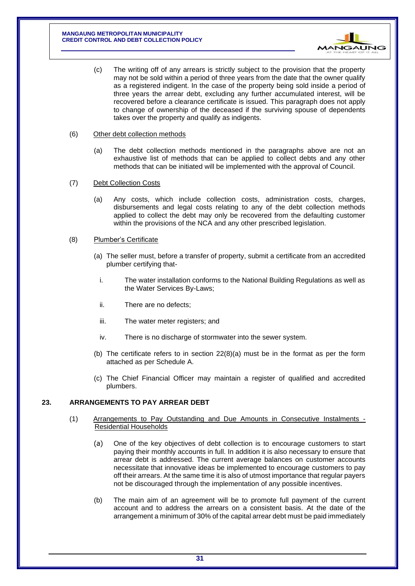

- (c) The writing off of any arrears is strictly subject to the provision that the property may not be sold within a period of three years from the date that the owner qualify as a registered indigent. In the case of the property being sold inside a period of three years the arrear debt, excluding any further accumulated interest, will be recovered before a clearance certificate is issued. This paragraph does not apply to change of ownership of the deceased if the surviving spouse of dependents takes over the property and qualify as indigents.
- (6) Other debt collection methods
	- (a) The debt collection methods mentioned in the paragraphs above are not an exhaustive list of methods that can be applied to collect debts and any other methods that can be initiated will be implemented with the approval of Council.
- (7) Debt Collection Costs
	- (a) Any costs, which include collection costs, administration costs, charges, disbursements and legal costs relating to any of the debt collection methods applied to collect the debt may only be recovered from the defaulting customer within the provisions of the NCA and any other prescribed legislation.
- (8) Plumber's Certificate
	- (a) The seller must, before a transfer of property, submit a certificate from an accredited plumber certifying that
		- i. The water installation conforms to the National Building Regulations as well as the Water Services By-Laws;
		- ii. There are no defects;
		- iii. The water meter registers; and
		- iv. There is no discharge of stormwater into the sewer system.
	- (b) The certificate refers to in section 22(8)(a) must be in the format as per the form attached as per Schedule A.
	- (c) The Chief Financial Officer may maintain a register of qualified and accredited plumbers.

## **23. ARRANGEMENTS TO PAY ARREAR DEBT**

- (1) Arrangements to Pay Outstanding and Due Amounts in Consecutive Instalments Residential Households
	- (a) One of the key objectives of debt collection is to encourage customers to start paying their monthly accounts in full. In addition it is also necessary to ensure that arrear debt is addressed. The current average balances on customer accounts necessitate that innovative ideas be implemented to encourage customers to pay off their arrears. At the same time it is also of utmost importance that regular payers not be discouraged through the implementation of any possible incentives.
	- (b) The main aim of an agreement will be to promote full payment of the current account and to address the arrears on a consistent basis. At the date of the arrangement a minimum of 30% of the capital arrear debt must be paid immediately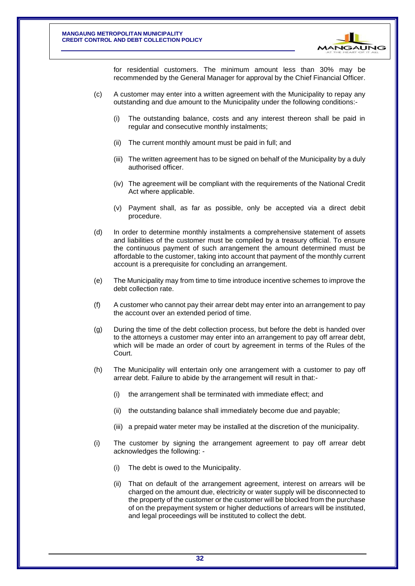

for residential customers. The minimum amount less than 30% may be recommended by the General Manager for approval by the Chief Financial Officer.

- (c) A customer may enter into a written agreement with the Municipality to repay any outstanding and due amount to the Municipality under the following conditions:-
	- (i) The outstanding balance, costs and any interest thereon shall be paid in regular and consecutive monthly instalments;
	- (ii) The current monthly amount must be paid in full; and
	- (iii) The written agreement has to be signed on behalf of the Municipality by a duly authorised officer.
	- (iv) The agreement will be compliant with the requirements of the National Credit Act where applicable.
	- (v) Payment shall, as far as possible, only be accepted via a direct debit procedure.
- (d) In order to determine monthly instalments a comprehensive statement of assets and liabilities of the customer must be compiled by a treasury official. To ensure the continuous payment of such arrangement the amount determined must be affordable to the customer, taking into account that payment of the monthly current account is a prerequisite for concluding an arrangement.
- (e) The Municipality may from time to time introduce incentive schemes to improve the debt collection rate.
- (f) A customer who cannot pay their arrear debt may enter into an arrangement to pay the account over an extended period of time.
- (g) During the time of the debt collection process, but before the debt is handed over to the attorneys a customer may enter into an arrangement to pay off arrear debt, which will be made an order of court by agreement in terms of the Rules of the Court.
- (h) The Municipality will entertain only one arrangement with a customer to pay off arrear debt. Failure to abide by the arrangement will result in that:-
	- (i) the arrangement shall be terminated with immediate effect; and
	- (ii) the outstanding balance shall immediately become due and payable;
	- (iii) a prepaid water meter may be installed at the discretion of the municipality.
- (i) The customer by signing the arrangement agreement to pay off arrear debt acknowledges the following: -
	- (i) The debt is owed to the Municipality.
	- (ii) That on default of the arrangement agreement, interest on arrears will be charged on the amount due, electricity or water supply will be disconnected to the property of the customer or the customer will be blocked from the purchase of on the prepayment system or higher deductions of arrears will be instituted, and legal proceedings will be instituted to collect the debt.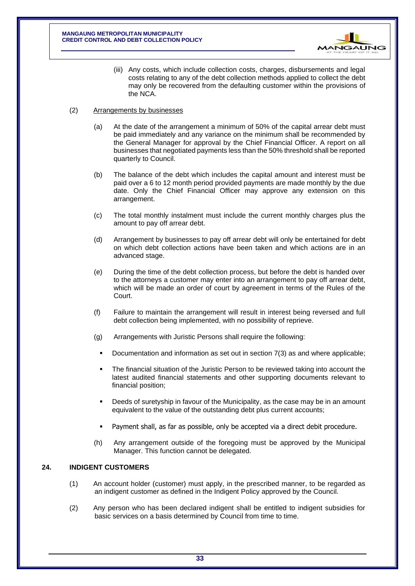

- (iii) Any costs, which include collection costs, charges, disbursements and legal costs relating to any of the debt collection methods applied to collect the debt may only be recovered from the defaulting customer within the provisions of the NCA.
- (2) Arrangements by businesses
	- (a) At the date of the arrangement a minimum of 50% of the capital arrear debt must be paid immediately and any variance on the minimum shall be recommended by the General Manager for approval by the Chief Financial Officer. A report on all businesses that negotiated payments less than the 50% threshold shall be reported quarterly to Council.
	- (b) The balance of the debt which includes the capital amount and interest must be paid over a 6 to 12 month period provided payments are made monthly by the due date. Only the Chief Financial Officer may approve any extension on this arrangement.
	- (c) The total monthly instalment must include the current monthly charges plus the amount to pay off arrear debt.
	- (d) Arrangement by businesses to pay off arrear debt will only be entertained for debt on which debt collection actions have been taken and which actions are in an advanced stage.
	- (e) During the time of the debt collection process, but before the debt is handed over to the attorneys a customer may enter into an arrangement to pay off arrear debt, which will be made an order of court by agreement in terms of the Rules of the Court.
	- (f) Failure to maintain the arrangement will result in interest being reversed and full debt collection being implemented, with no possibility of reprieve.
	- (g) Arrangements with Juristic Persons shall require the following:
		- Documentation and information as set out in section 7(3) as and where applicable;
		- The financial situation of the Juristic Person to be reviewed taking into account the latest audited financial statements and other supporting documents relevant to financial position;
		- Deeds of suretyship in favour of the Municipality, as the case may be in an amount equivalent to the value of the outstanding debt plus current accounts;
		- Payment shall, as far as possible, only be accepted via a direct debit procedure.
	- (h) Any arrangement outside of the foregoing must be approved by the Municipal Manager. This function cannot be delegated.

## **24. INDIGENT CUSTOMERS**

- (1) An account holder (customer) must apply, in the prescribed manner, to be regarded as an indigent customer as defined in the Indigent Policy approved by the Council.
- (2) Any person who has been declared indigent shall be entitled to indigent subsidies for basic services on a basis determined by Council from time to time.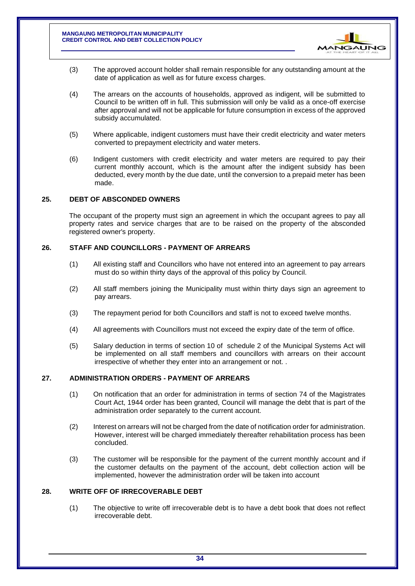

- (3) The approved account holder shall remain responsible for any outstanding amount at the date of application as well as for future excess charges.
- (4) The arrears on the accounts of households, approved as indigent, will be submitted to Council to be written off in full. This submission will only be valid as a once-off exercise after approval and will not be applicable for future consumption in excess of the approved subsidy accumulated.
- (5) Where applicable, indigent customers must have their credit electricity and water meters converted to prepayment electricity and water meters.
- (6) Indigent customers with credit electricity and water meters are required to pay their current monthly account, which is the amount after the indigent subsidy has been deducted, every month by the due date, until the conversion to a prepaid meter has been made.

#### **25. DEBT OF ABSCONDED OWNERS**

The occupant of the property must sign an agreement in which the occupant agrees to pay all property rates and service charges that are to be raised on the property of the absconded registered owner's property.

### **26. STAFF AND COUNCILLORS - PAYMENT OF ARREARS**

- (1) All existing staff and Councillors who have not entered into an agreement to pay arrears must do so within thirty days of the approval of this policy by Council.
- (2) All staff members joining the Municipality must within thirty days sign an agreement to pay arrears.
- (3) The repayment period for both Councillors and staff is not to exceed twelve months.
- (4) All agreements with Councillors must not exceed the expiry date of the term of office.
- (5) Salary deduction in terms of section 10 of schedule 2 of the Municipal Systems Act will be implemented on all staff members and councillors with arrears on their account irrespective of whether they enter into an arrangement or not. .

## **27. ADMINISTRATION ORDERS - PAYMENT OF ARREARS**

- (1) On notification that an order for administration in terms of section 74 of the Magistrates Court Act, 1944 order has been granted, Council will manage the debt that is part of the administration order separately to the current account.
- (2) Interest on arrears will not be charged from the date of notification order for administration. However, interest will be charged immediately thereafter rehabilitation process has been concluded.
- (3) The customer will be responsible for the payment of the current monthly account and if the customer defaults on the payment of the account, debt collection action will be implemented, however the administration order will be taken into account

## **28. WRITE OFF OF IRRECOVERABLE DEBT**

(1) The objective to write off irrecoverable debt is to have a debt book that does not reflect irrecoverable debt.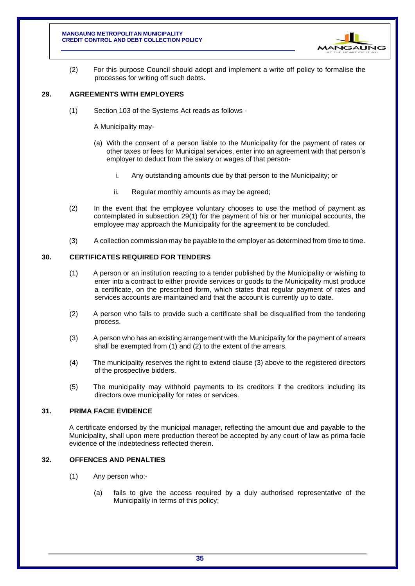

(2) For this purpose Council should adopt and implement a write off policy to formalise the processes for writing off such debts.

## **29. AGREEMENTS WITH EMPLOYERS**

(1) Section 103 of the Systems Act reads as follows -

A Municipality may-

- (a) With the consent of a person liable to the Municipality for the payment of rates or other taxes or fees for Municipal services, enter into an agreement with that person's employer to deduct from the salary or wages of that person
	- i. Any outstanding amounts due by that person to the Municipality; or
	- ii. Regular monthly amounts as may be agreed;
- (2) In the event that the employee voluntary chooses to use the method of payment as contemplated in subsection 29(1) for the payment of his or her municipal accounts, the employee may approach the Municipality for the agreement to be concluded.
- (3) A collection commission may be payable to the employer as determined from time to time.

## **30. CERTIFICATES REQUIRED FOR TENDERS**

- (1) A person or an institution reacting to a tender published by the Municipality or wishing to enter into a contract to either provide services or goods to the Municipality must produce a certificate, on the prescribed form, which states that regular payment of rates and services accounts are maintained and that the account is currently up to date.
- (2) A person who fails to provide such a certificate shall be disqualified from the tendering process.
- (3) A person who has an existing arrangement with the Municipality for the payment of arrears shall be exempted from (1) and (2) to the extent of the arrears.
- (4) The municipality reserves the right to extend clause (3) above to the registered directors of the prospective bidders.
- (5) The municipality may withhold payments to its creditors if the creditors including its directors owe municipality for rates or services.

## **31. PRIMA FACIE EVIDENCE**

A certificate endorsed by the municipal manager, reflecting the amount due and payable to the Municipality, shall upon mere production thereof be accepted by any court of law as prima facie evidence of the indebtedness reflected therein.

## **32. OFFENCES AND PENALTIES**

- (1) Any person who:-
	- (a) fails to give the access required by a duly authorised representative of the Municipality in terms of this policy;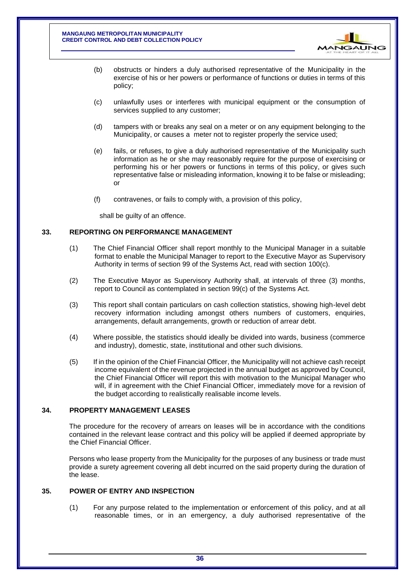

- (b) obstructs or hinders a duly authorised representative of the Municipality in the exercise of his or her powers or performance of functions or duties in terms of this policy;
- (c) unlawfully uses or interferes with municipal equipment or the consumption of services supplied to any customer;
- (d) tampers with or breaks any seal on a meter or on any equipment belonging to the Municipality, or causes a meter not to register properly the service used;
- (e) fails, or refuses, to give a duly authorised representative of the Municipality such information as he or she may reasonably require for the purpose of exercising or performing his or her powers or functions in terms of this policy, or gives such representative false or misleading information, knowing it to be false or misleading; or
- (f) contravenes, or fails to comply with, a provision of this policy,

shall be guilty of an offence.

#### **33. REPORTING ON PERFORMANCE MANAGEMENT**

- (1) The Chief Financial Officer shall report monthly to the Municipal Manager in a suitable format to enable the Municipal Manager to report to the Executive Mayor as Supervisory Authority in terms of section 99 of the Systems Act, read with section 100(c).
- (2) The Executive Mayor as Supervisory Authority shall, at intervals of three (3) months, report to Council as contemplated in section 99(c) of the Systems Act.
- (3) This report shall contain particulars on cash collection statistics, showing high-level debt recovery information including amongst others numbers of customers, enquiries, arrangements, default arrangements, growth or reduction of arrear debt.
- (4) Where possible, the statistics should ideally be divided into wards, business (commerce and industry), domestic, state, institutional and other such divisions.
- (5) If in the opinion of the Chief Financial Officer, the Municipality will not achieve cash receipt income equivalent of the revenue projected in the annual budget as approved by Council, the Chief Financial Officer will report this with motivation to the Municipal Manager who will, if in agreement with the Chief Financial Officer, immediately move for a revision of the budget according to realistically realisable income levels.

#### **34. PROPERTY MANAGEMENT LEASES**

The procedure for the recovery of arrears on leases will be in accordance with the conditions contained in the relevant lease contract and this policy will be applied if deemed appropriate by the Chief Financial Officer.

Persons who lease property from the Municipality for the purposes of any business or trade must provide a surety agreement covering all debt incurred on the said property during the duration of the lease.

#### **35. POWER OF ENTRY AND INSPECTION**

(1) For any purpose related to the implementation or enforcement of this policy, and at all reasonable times, or in an emergency, a duly authorised representative of the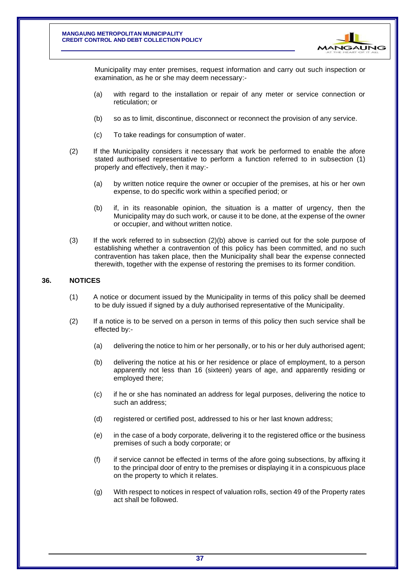

Municipality may enter premises, request information and carry out such inspection or examination, as he or she may deem necessary:-

- (a) with regard to the installation or repair of any meter or service connection or reticulation; or
- (b) so as to limit, discontinue, disconnect or reconnect the provision of any service.
- (c) To take readings for consumption of water.
- (2) If the Municipality considers it necessary that work be performed to enable the afore stated authorised representative to perform a function referred to in subsection (1) properly and effectively, then it may:-
	- (a) by written notice require the owner or occupier of the premises, at his or her own expense, to do specific work within a specified period; or
	- (b) if, in its reasonable opinion, the situation is a matter of urgency, then the Municipality may do such work, or cause it to be done, at the expense of the owner or occupier, and without written notice.
- (3) If the work referred to in subsection (2)(b) above is carried out for the sole purpose of establishing whether a contravention of this policy has been committed, and no such contravention has taken place, then the Municipality shall bear the expense connected therewith, together with the expense of restoring the premises to its former condition.

#### **36. NOTICES**

- (1) A notice or document issued by the Municipality in terms of this policy shall be deemed to be duly issued if signed by a duly authorised representative of the Municipality.
- (2) If a notice is to be served on a person in terms of this policy then such service shall be effected by:-
	- (a) delivering the notice to him or her personally, or to his or her duly authorised agent;
	- (b) delivering the notice at his or her residence or place of employment, to a person apparently not less than 16 (sixteen) years of age, and apparently residing or employed there;
	- (c) if he or she has nominated an address for legal purposes, delivering the notice to such an address;
	- (d) registered or certified post, addressed to his or her last known address;
	- (e) in the case of a body corporate, delivering it to the registered office or the business premises of such a body corporate; or
	- (f) if service cannot be effected in terms of the afore going subsections, by affixing it to the principal door of entry to the premises or displaying it in a conspicuous place on the property to which it relates.
	- (g) With respect to notices in respect of valuation rolls, section 49 of the Property rates act shall be followed.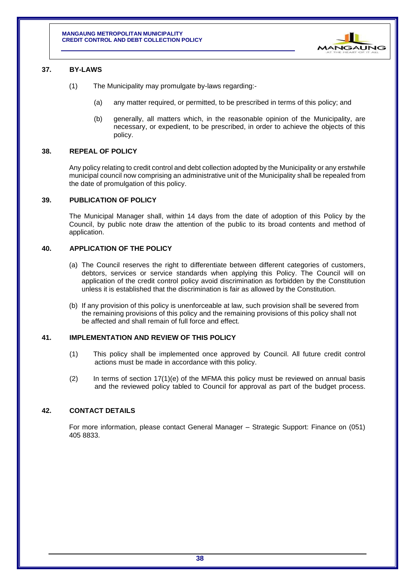

#### **37. BY-LAWS**

- (1) The Municipality may promulgate by-laws regarding:-
	- (a) any matter required, or permitted, to be prescribed in terms of this policy; and
	- (b) generally, all matters which, in the reasonable opinion of the Municipality, are necessary, or expedient, to be prescribed, in order to achieve the objects of this policy.

## **38. REPEAL OF POLICY**

Any policy relating to credit control and debt collection adopted by the Municipality or any erstwhile municipal council now comprising an administrative unit of the Municipality shall be repealed from the date of promulgation of this policy.

#### **39. PUBLICATION OF POLICY**

The Municipal Manager shall, within 14 days from the date of adoption of this Policy by the Council, by public note draw the attention of the public to its broad contents and method of application.

#### **40. APPLICATION OF THE POLICY**

- (a) The Council reserves the right to differentiate between different categories of customers, debtors, services or service standards when applying this Policy. The Council will on application of the credit control policy avoid discrimination as forbidden by the Constitution unless it is established that the discrimination is fair as allowed by the Constitution.
- (b) If any provision of this policy is unenforceable at law, such provision shall be severed from the remaining provisions of this policy and the remaining provisions of this policy shall not be affected and shall remain of full force and effect.

## **41. IMPLEMENTATION AND REVIEW OF THIS POLICY**

- (1) This policy shall be implemented once approved by Council. All future credit control actions must be made in accordance with this policy.
- $(2)$  In terms of section 17(1)(e) of the MFMA this policy must be reviewed on annual basis and the reviewed policy tabled to Council for approval as part of the budget process.

## **42. CONTACT DETAILS**

For more information, please contact General Manager – Strategic Support: Finance on (051) 405 8833.